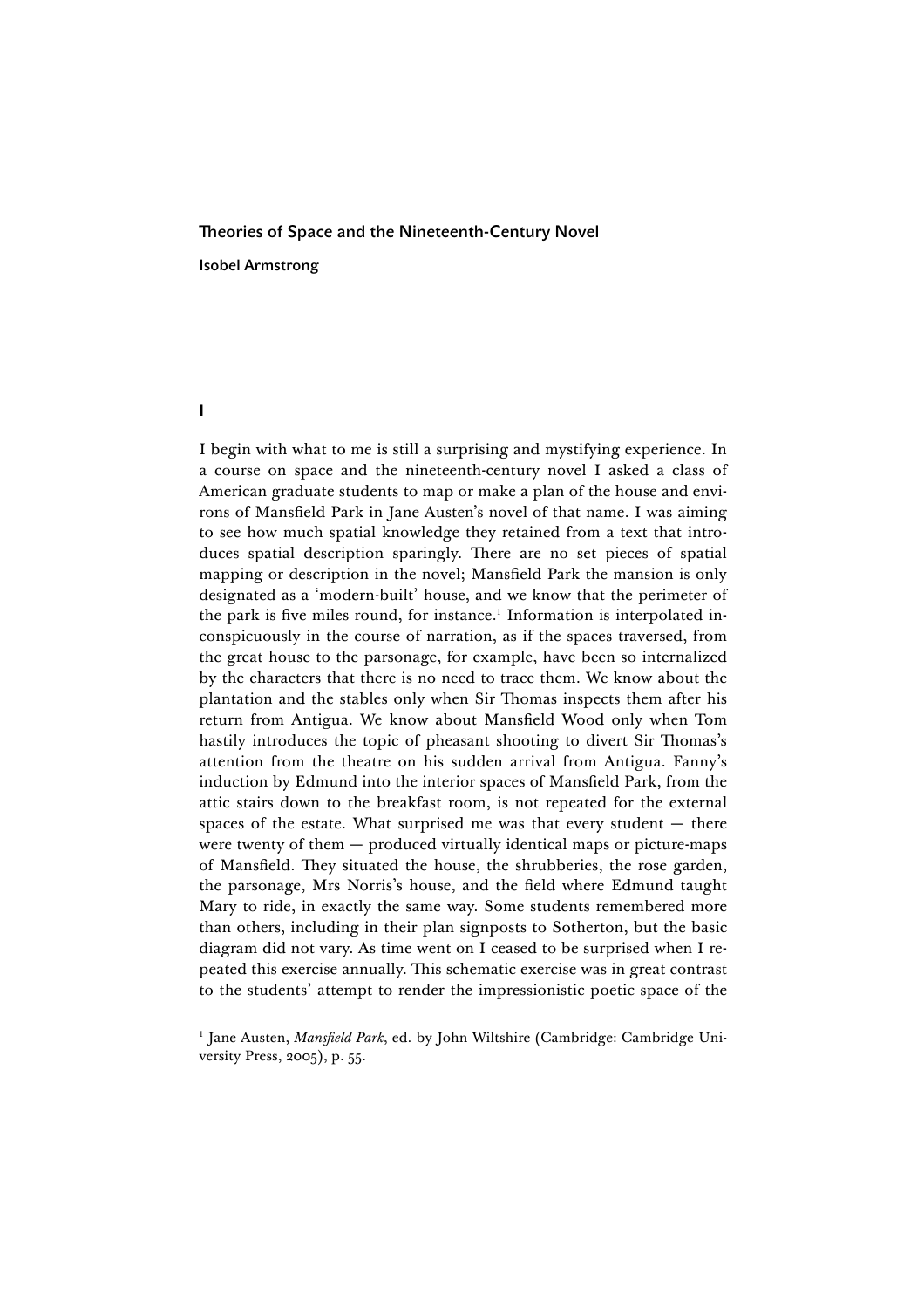## Theories of Space and the Nineteenth-Century Novel Isobel Armstrong

## I

I begin with what to me is still a surprising and mystifying experience. In a course on space and the nineteenth-century novel I asked a class of American graduate students to map or make a plan of the house and environs of Mansfield Park in Jane Austen's novel of that name. I was aiming to see how much spatial knowledge they retained from a text that introduces spatial description sparingly. There are no set pieces of spatial mapping or description in the novel; Mansfield Park the mansion is only designated as a 'modern-built' house, and we know that the perimeter of the park is five miles round, for instance.<sup>1</sup> Information is interpolated inconspicuously in the course of narration, as if the spaces traversed, from the great house to the parsonage, for example, have been so internalized by the characters that there is no need to trace them. We know about the plantation and the stables only when Sir Thomas inspects them after his return from Antigua. We know about Mansfield Wood only when Tom hastily introduces the topic of pheasant shooting to divert Sir Thomas's attention from the theatre on his sudden arrival from Antigua. Fanny's induction by Edmund into the interior spaces of Mansfield Park, from the attic stairs down to the breakfast room, is not repeated for the external spaces of the estate. What surprised me was that every student  $-$  there were twenty of them — produced virtually identical maps or picture-maps of Mansfield. They situated the house, the shrubberies, the rose garden, the parsonage, Mrs Norris's house, and the field where Edmund taught Mary to ride, in exactly the same way. Some students remembered more than others, including in their plan signposts to Sotherton, but the basic diagram did not vary. As time went on I ceased to be surprised when I repeated this exercise annually. This schematic exercise was in great contrast to the students' attempt to render the impressionistic poetic space of the

<sup>&</sup>lt;sup>1</sup> Jane Austen, *Mansfield Park*, ed. by John Wiltshire (Cambridge: Cambridge University Press, 2005), p. 55.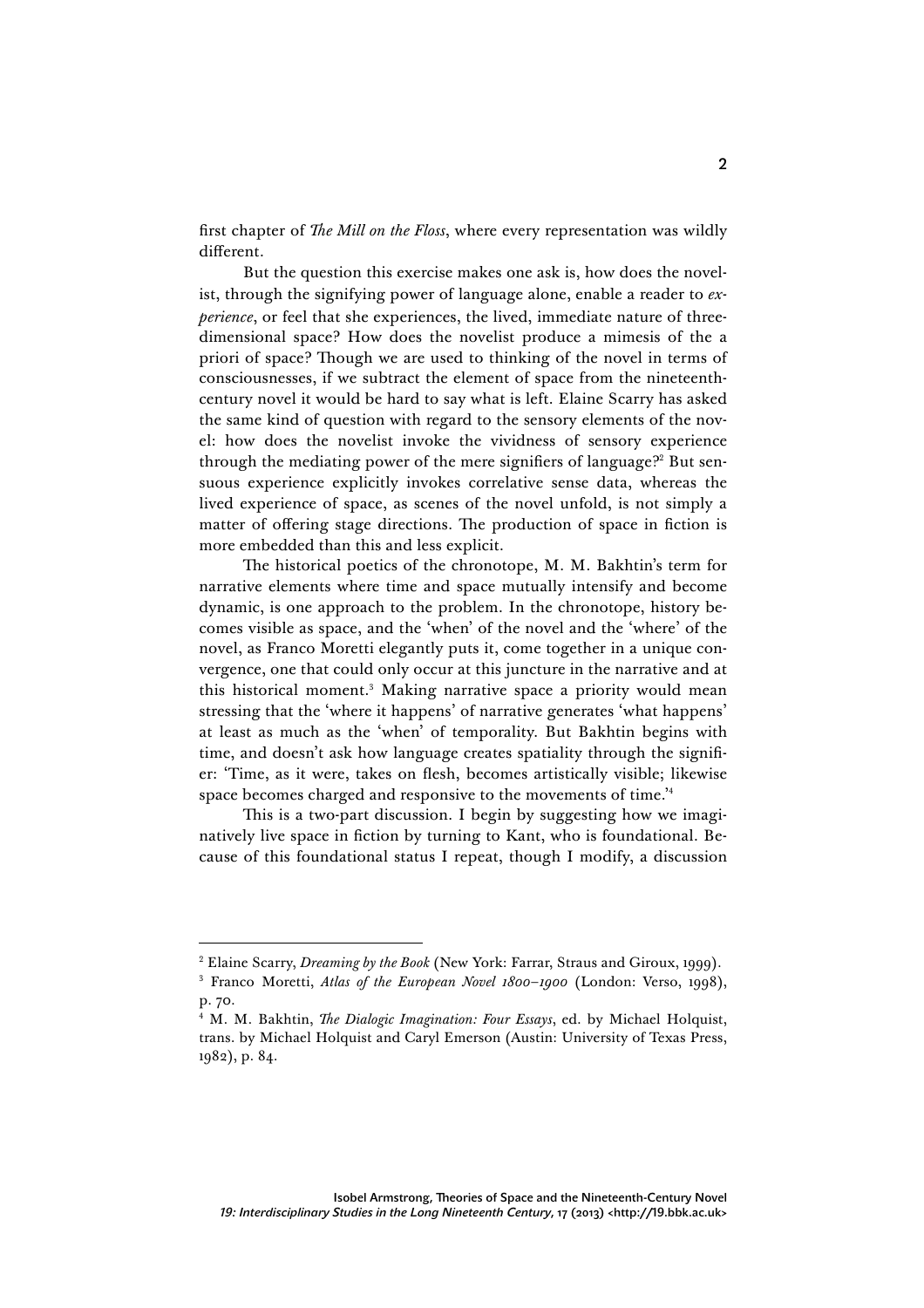first chapter of *The Mill on the Floss*, where every representation was wildly different.

But the question this exercise makes one ask is, how does the novelist, through the signifying power of language alone, enable a reader to *experience*, or feel that she experiences, the lived, immediate nature of threedimensional space? How does the novelist produce a mimesis of the a priori of space? Though we are used to thinking of the novel in terms of consciousnesses, if we subtract the element of space from the nineteenthcentury novel it would be hard to say what is left. Elaine Scarry has asked the same kind of question with regard to the sensory elements of the novel: how does the novelist invoke the vividness of sensory experience through the mediating power of the mere signifiers of language?<sup>2</sup> But sensuous experience explicitly invokes correlative sense data, whereas the lived experience of space, as scenes of the novel unfold, is not simply a matter of offering stage directions. The production of space in fiction is more embedded than this and less explicit.

The historical poetics of the chronotope, M. M. Bakhtin's term for narrative elements where time and space mutually intensify and become dynamic, is one approach to the problem. In the chronotope, history becomes visible as space, and the 'when' of the novel and the 'where' of the novel, as Franco Moretti elegantly puts it, come together in a unique convergence, one that could only occur at this juncture in the narrative and at this historical moment.<sup>3</sup> Making narrative space a priority would mean stressing that the 'where it happens' of narrative generates 'what happens' at least as much as the 'when' of temporality. But Bakhtin begins with time, and doesn't ask how language creates spatiality through the signifier: 'Time, as it were, takes on flesh, becomes artistically visible; likewise space becomes charged and responsive to the movements of time.'4

This is a two-part discussion. I begin by suggesting how we imaginatively live space in fiction by turning to Kant, who is foundational. Because of this foundational status I repeat, though I modify, a discussion

 <sup>2</sup> Elaine Scarry, *Dreaming by the Book* (New York: Farrar, Straus and Giroux, 1999).

<sup>3</sup> Franco Moretti, *Atlas of the European Novel 1800*–*1900* (London: Verso, 1998), p. 70.

<sup>4</sup> M. M. Bakhtin, *The Dialogic Imagination: Four Essays*, ed. by Michael Holquist, trans. by Michael Holquist and Caryl Emerson (Austin: University of Texas Press, 1982), p. 84.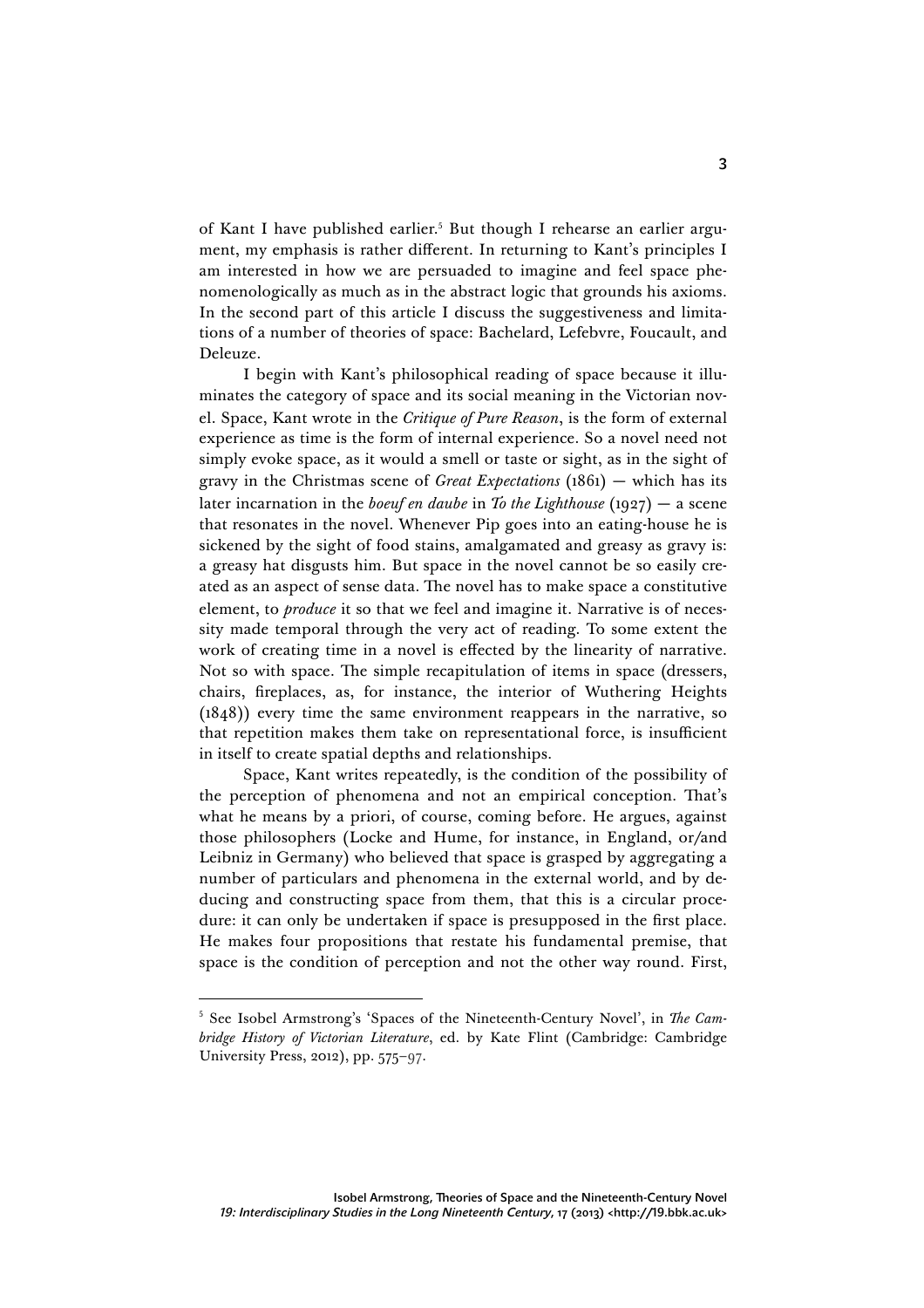of Kant I have published earlier.<sup>5</sup> But though I rehearse an earlier argument, my emphasis is rather different. In returning to Kant's principles I am interested in how we are persuaded to imagine and feel space phenomenologically as much as in the abstract logic that grounds his axioms. In the second part of this article I discuss the suggestiveness and limitations of a number of theories of space: Bachelard, Lefebvre, Foucault, and Deleuze.

I begin with Kant's philosophical reading of space because it illuminates the category of space and its social meaning in the Victorian novel. Space, Kant wrote in the *Critique of Pure Reason*, is the form of external experience as time is the form of internal experience. So a novel need not simply evoke space, as it would a smell or taste or sight, as in the sight of gravy in the Christmas scene of *Great Expectations* (1861) — which has its later incarnation in the *boeuf en daube* in *To the Lighthouse* (1927) — a scene that resonates in the novel. Whenever Pip goes into an eating-house he is sickened by the sight of food stains, amalgamated and greasy as gravy is: a greasy hat disgusts him. But space in the novel cannot be so easily created as an aspect of sense data. The novel has to make space a constitutive element, to *produce* it so that we feel and imagine it. Narrative is of necessity made temporal through the very act of reading. To some extent the work of creating time in a novel is effected by the linearity of narrative. Not so with space. The simple recapitulation of items in space (dressers, chairs, fireplaces, as, for instance, the interior of Wuthering Heights (1848)) every time the same environment reappears in the narrative, so that repetition makes them take on representational force, is insufficient in itself to create spatial depths and relationships.

Space, Kant writes repeatedly, is the condition of the possibility of the perception of phenomena and not an empirical conception. That's what he means by a priori, of course, coming before. He argues, against those philosophers (Locke and Hume, for instance, in England, or/and Leibniz in Germany) who believed that space is grasped by aggregating a number of particulars and phenomena in the external world, and by deducing and constructing space from them, that this is a circular procedure: it can only be undertaken if space is presupposed in the first place. He makes four propositions that restate his fundamental premise, that space is the condition of perception and not the other way round. First,

 <sup>5</sup> See Isobel Armstrong's 'Spaces of the Nineteenth-Century Novel', in *The Cambridge History of Victorian Literature*, ed. by Kate Flint (Cambridge: Cambridge University Press, 2012), pp. 575–97.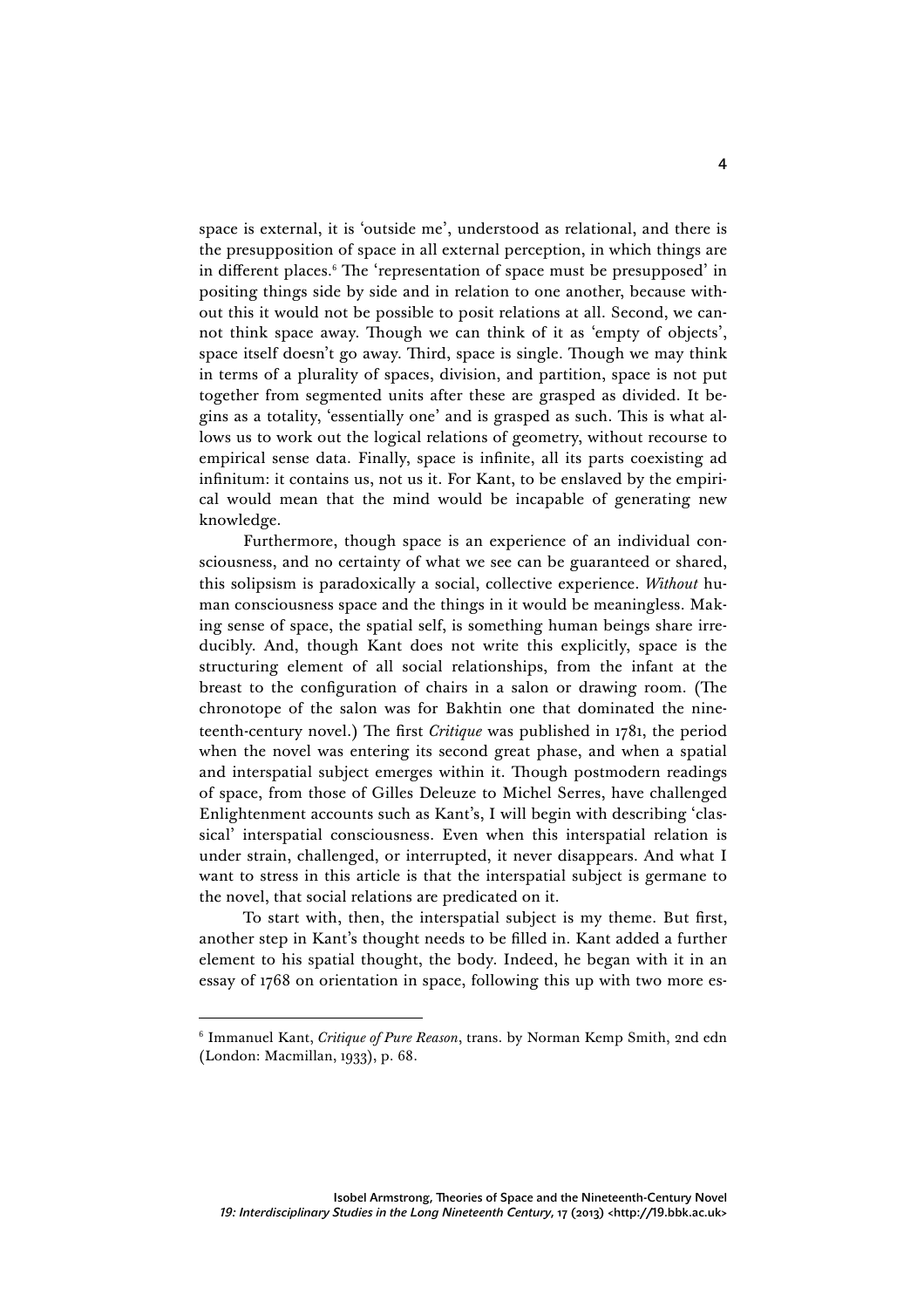space is external, it is 'outside me', understood as relational, and there is the presupposition of space in all external perception, in which things are in different places.<sup>6</sup> The 'representation of space must be presupposed' in positing things side by side and in relation to one another, because without this it would not be possible to posit relations at all. Second, we cannot think space away. Though we can think of it as 'empty of objects', space itself doesn't go away. Third, space is single. Though we may think in terms of a plurality of spaces, division, and partition, space is not put together from segmented units after these are grasped as divided. It begins as a totality, 'essentially one' and is grasped as such. This is what allows us to work out the logical relations of geometry, without recourse to empirical sense data. Finally, space is infinite, all its parts coexisting ad infinitum: it contains us, not us it. For Kant, to be enslaved by the empirical would mean that the mind would be incapable of generating new knowledge.

Furthermore, though space is an experience of an individual consciousness, and no certainty of what we see can be guaranteed or shared, this solipsism is paradoxically a social, collective experience. *Without* human consciousness space and the things in it would be meaningless. Making sense of space, the spatial self, is something human beings share irreducibly. And, though Kant does not write this explicitly, space is the structuring element of all social relationships, from the infant at the breast to the configuration of chairs in a salon or drawing room. (The chronotope of the salon was for Bakhtin one that dominated the nineteenth-century novel.) The first *Critique* was published in 1781, the period when the novel was entering its second great phase, and when a spatial and interspatial subject emerges within it. Though postmodern readings of space, from those of Gilles Deleuze to Michel Serres, have challenged Enlightenment accounts such as Kant's, I will begin with describing 'classical' interspatial consciousness. Even when this interspatial relation is under strain, challenged, or interrupted, it never disappears. And what I want to stress in this article is that the interspatial subject is germane to the novel, that social relations are predicated on it.

To start with, then, the interspatial subject is my theme. But first, another step in Kant's thought needs to be filled in. Kant added a further element to his spatial thought, the body. Indeed, he began with it in an essay of 1768 on orientation in space, following this up with two more es-

j

<sup>6</sup> Immanuel Kant, *Critique of Pure Reason*, trans. by Norman Kemp Smith, 2nd edn (London: Macmillan, 1933), p. 68.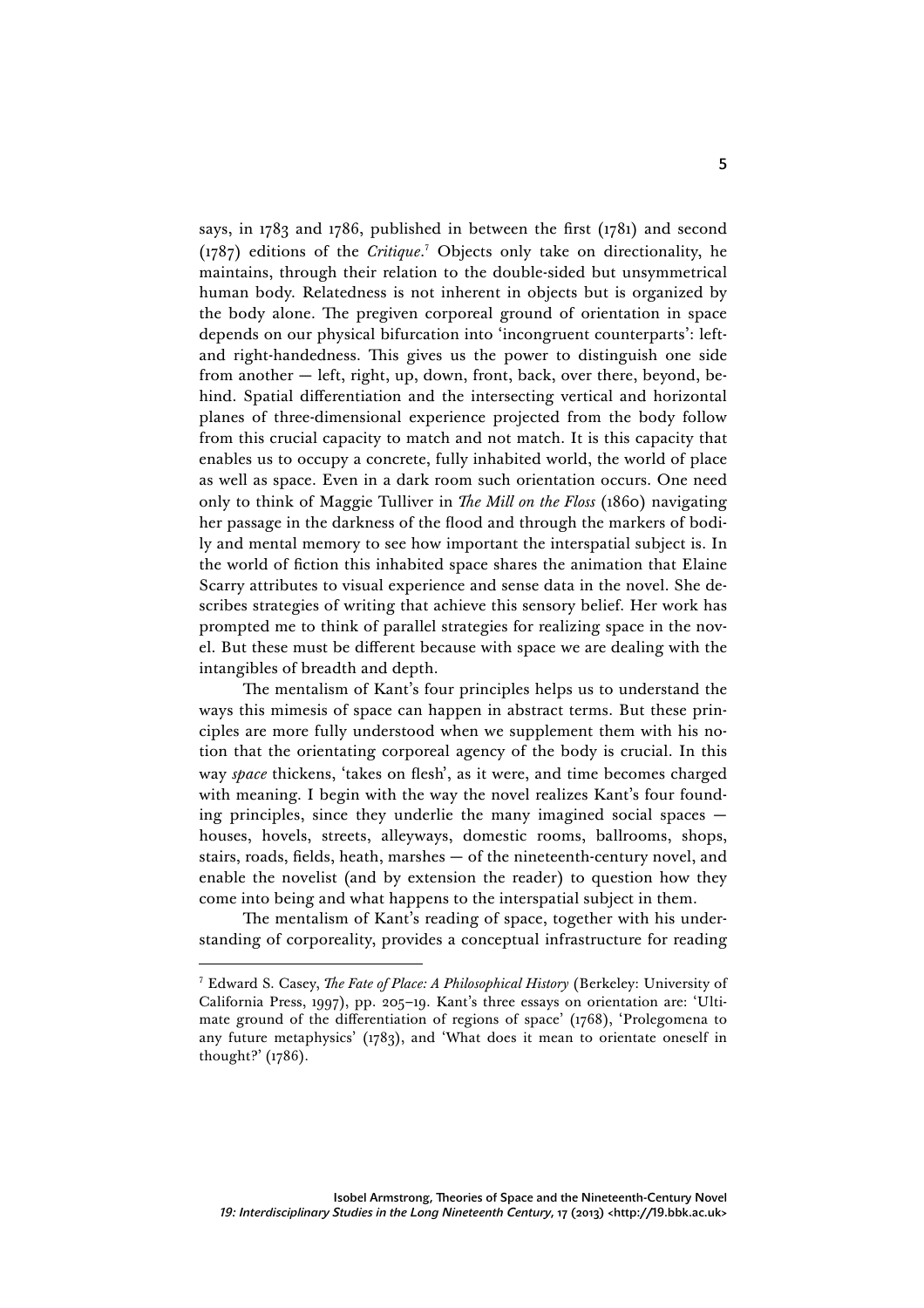says, in 1783 and 1786, published in between the first (1781) and second (1787) editions of the *Critique*. <sup>7</sup> Objects only take on directionality, he maintains, through their relation to the double-sided but unsymmetrical human body. Relatedness is not inherent in objects but is organized by the body alone. The pregiven corporeal ground of orientation in space depends on our physical bifurcation into 'incongruent counterparts': leftand right-handedness. This gives us the power to distinguish one side from another — left, right, up, down, front, back, over there, beyond, behind. Spatial differentiation and the intersecting vertical and horizontal planes of three-dimensional experience projected from the body follow from this crucial capacity to match and not match. It is this capacity that enables us to occupy a concrete, fully inhabited world, the world of place as well as space. Even in a dark room such orientation occurs. One need only to think of Maggie Tulliver in *The Mill on the Floss* (1860) navigating her passage in the darkness of the flood and through the markers of bodily and mental memory to see how important the interspatial subject is. In the world of fiction this inhabited space shares the animation that Elaine Scarry attributes to visual experience and sense data in the novel. She describes strategies of writing that achieve this sensory belief. Her work has prompted me to think of parallel strategies for realizing space in the novel. But these must be different because with space we are dealing with the intangibles of breadth and depth.

The mentalism of Kant's four principles helps us to understand the ways this mimesis of space can happen in abstract terms. But these principles are more fully understood when we supplement them with his notion that the orientating corporeal agency of the body is crucial. In this way *space* thickens, 'takes on flesh', as it were, and time becomes charged with meaning. I begin with the way the novel realizes Kant's four founding principles, since they underlie the many imagined social spaces houses, hovels, streets, alleyways, domestic rooms, ballrooms, shops, stairs, roads, fields, heath, marshes — of the nineteenth-century novel, and enable the novelist (and by extension the reader) to question how they come into being and what happens to the interspatial subject in them.

The mentalism of Kant's reading of space, together with his understanding of corporeality, provides a conceptual infrastructure for reading

<sup>7</sup> Edward S. Casey, *The Fate of Place: A Philosophical History* (Berkeley: University of California Press, 1997), pp. 205–19. Kant's three essays on orientation are: 'Ultimate ground of the differentiation of regions of space' (1768), 'Prolegomena to any future metaphysics' (1783), and 'What does it mean to orientate oneself in thought?' (1786).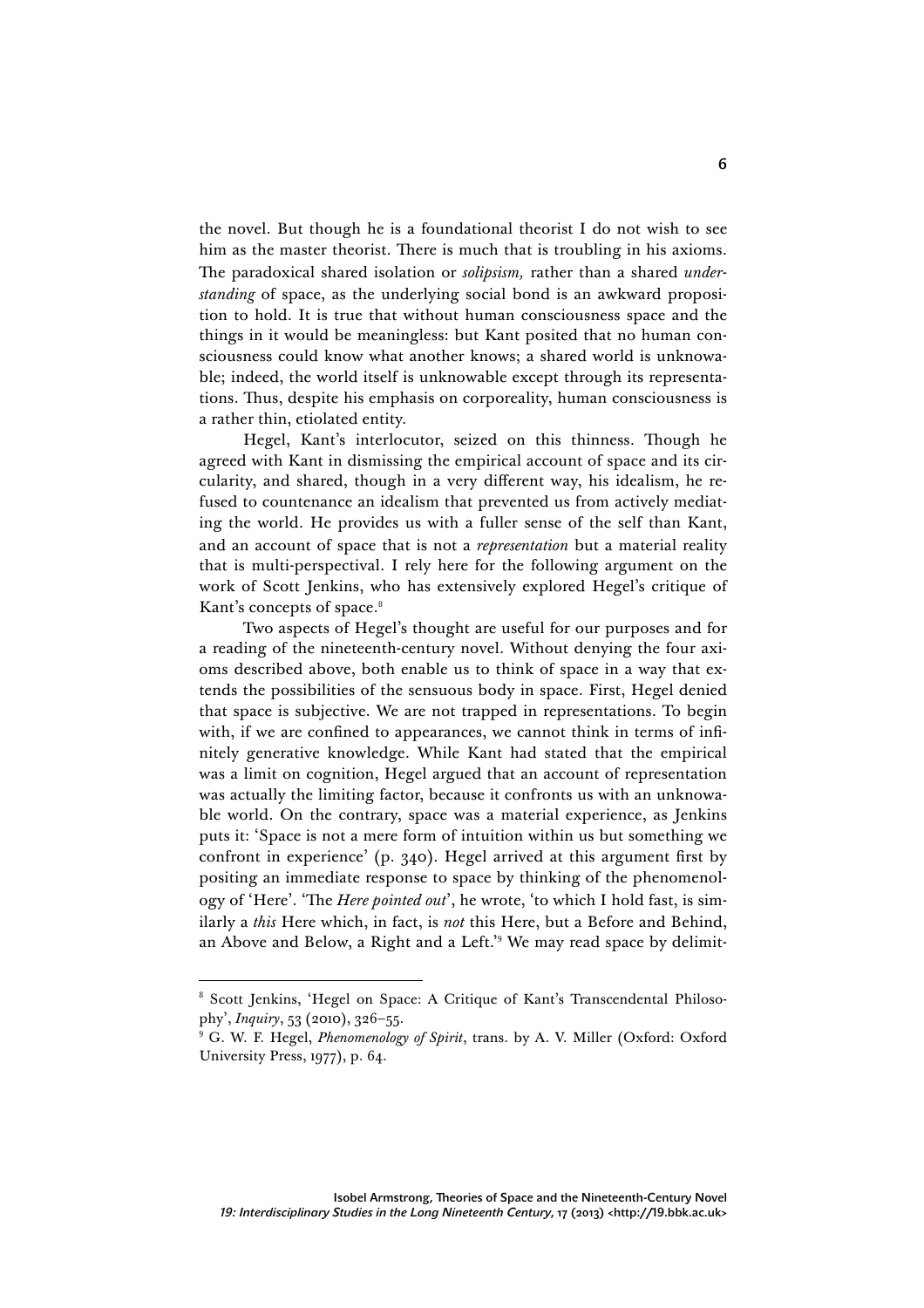the novel. But though he is a foundational theorist I do not wish to see him as the master theorist. There is much that is troubling in his axioms. The paradoxical shared isolation or *solipsism,* rather than a shared *understanding* of space, as the underlying social bond is an awkward proposition to hold. It is true that without human consciousness space and the things in it would be meaningless: but Kant posited that no human consciousness could know what another knows; a shared world is unknowable; indeed, the world itself is unknowable except through its representations. Thus, despite his emphasis on corporeality, human consciousness is a rather thin, etiolated entity.

Hegel, Kant's interlocutor, seized on this thinness. Though he agreed with Kant in dismissing the empirical account of space and its circularity, and shared, though in a very different way, his idealism, he refused to countenance an idealism that prevented us from actively mediating the world. He provides us with a fuller sense of the self than Kant, and an account of space that is not a *representation* but a material reality that is multi-perspectival. I rely here for the following argument on the work of Scott Jenkins, who has extensively explored Hegel's critique of Kant's concepts of space.<sup>8</sup>

Two aspects of Hegel's thought are useful for our purposes and for a reading of the nineteenth-century novel. Without denying the four axioms described above, both enable us to think of space in a way that extends the possibilities of the sensuous body in space. First, Hegel denied that space is subjective. We are not trapped in representations. To begin with, if we are confined to appearances, we cannot think in terms of infinitely generative knowledge. While Kant had stated that the empirical was a limit on cognition, Hegel argued that an account of representation was actually the limiting factor, because it confronts us with an unknowable world. On the contrary, space was a material experience, as Jenkins puts it: 'Space is not a mere form of intuition within us but something we confront in experience' (p. 340). Hegel arrived at this argument first by positing an immediate response to space by thinking of the phenomenology of 'Here'. 'The *Here pointed out*', he wrote, 'to which I hold fast, is similarly a *this* Here which, in fact, is *not* this Here, but a Before and Behind, an Above and Below, a Right and a Left.'<sup>9</sup> We may read space by delimit-

 <sup>8</sup> Scott Jenkins, 'Hegel on Space: A Critique of Kant's Transcendental Philosophy', *Inquiry*, 53 (2010), 326–55.

<sup>9</sup> G. W. F. Hegel, *Phenomenology of Spirit*, trans. by A. V. Miller (Oxford: Oxford University Press, 1977), p. 64.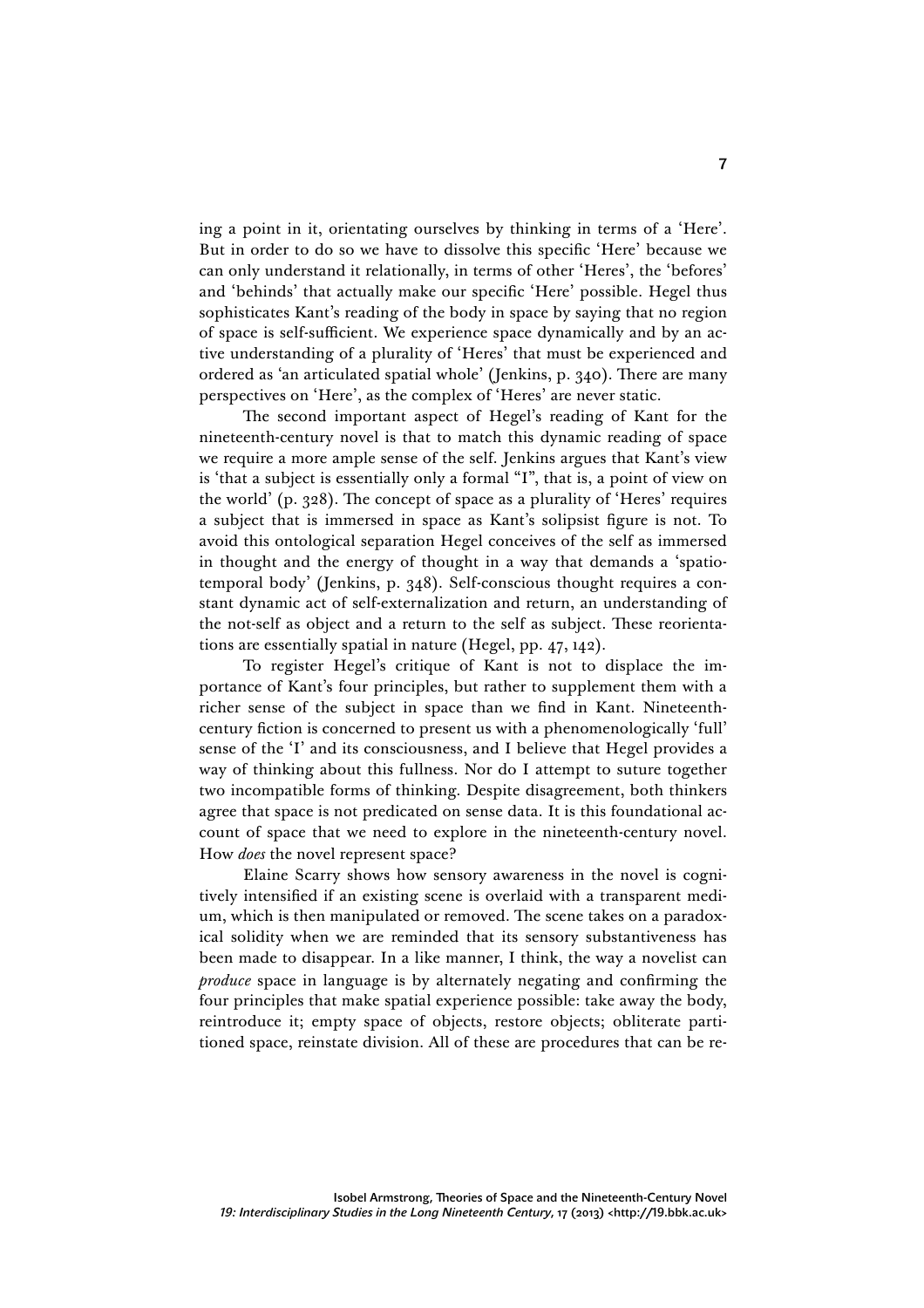ing a point in it, orientating ourselves by thinking in terms of a 'Here'. But in order to do so we have to dissolve this specific 'Here' because we can only understand it relationally, in terms of other 'Heres', the 'befores' and 'behinds' that actually make our specific 'Here' possible. Hegel thus sophisticates Kant's reading of the body in space by saying that no region of space is self-sufficient. We experience space dynamically and by an active understanding of a plurality of 'Heres' that must be experienced and ordered as 'an articulated spatial whole' (Jenkins, p. 340). There are many perspectives on 'Here', as the complex of 'Heres' are never static.

The second important aspect of Hegel's reading of Kant for the nineteenth-century novel is that to match this dynamic reading of space we require a more ample sense of the self. Jenkins argues that Kant's view is 'that a subject is essentially only a formal "I", that is, a point of view on the world' (p. 328). The concept of space as a plurality of 'Heres' requires a subject that is immersed in space as Kant's solipsist figure is not. To avoid this ontological separation Hegel conceives of the self as immersed in thought and the energy of thought in a way that demands a 'spatiotemporal body' (Jenkins, p. 348). Self-conscious thought requires a constant dynamic act of self-externalization and return, an understanding of the not-self as object and a return to the self as subject. These reorientations are essentially spatial in nature (Hegel, pp. 47, 142).

To register Hegel's critique of Kant is not to displace the importance of Kant's four principles, but rather to supplement them with a richer sense of the subject in space than we find in Kant. Nineteenthcentury fiction is concerned to present us with a phenomenologically 'full' sense of the 'I' and its consciousness, and I believe that Hegel provides a way of thinking about this fullness. Nor do I attempt to suture together two incompatible forms of thinking. Despite disagreement, both thinkers agree that space is not predicated on sense data. It is this foundational account of space that we need to explore in the nineteenth-century novel. How *does* the novel represent space?

Elaine Scarry shows how sensory awareness in the novel is cognitively intensified if an existing scene is overlaid with a transparent medium, which is then manipulated or removed. The scene takes on a paradoxical solidity when we are reminded that its sensory substantiveness has been made to disappear. In a like manner, I think, the way a novelist can *produce* space in language is by alternately negating and confirming the four principles that make spatial experience possible: take away the body, reintroduce it; empty space of objects, restore objects; obliterate partitioned space, reinstate division. All of these are procedures that can be re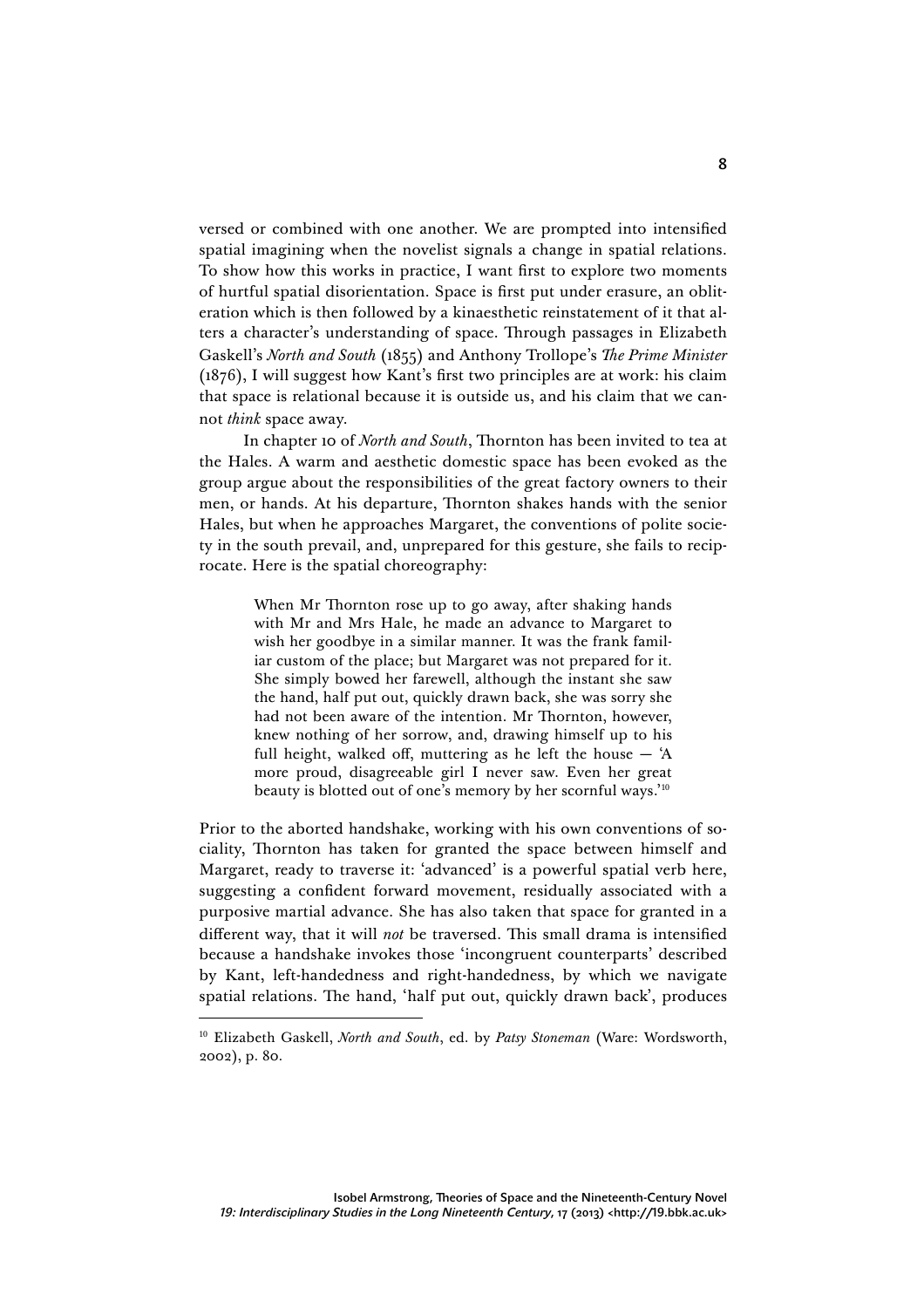versed or combined with one another. We are prompted into intensified spatial imagining when the novelist signals a change in spatial relations. To show how this works in practice, I want first to explore two moments of hurtful spatial disorientation. Space is first put under erasure, an obliteration which is then followed by a kinaesthetic reinstatement of it that alters a character's understanding of space. Through passages in Elizabeth Gaskell's *North and South* (1855) and Anthony Trollope's *The Prime Minister*  (1876), I will suggest how Kant's first two principles are at work: his claim that space is relational because it is outside us, and his claim that we cannot *think* space away.

In chapter 10 of *North and South*, Thornton has been invited to tea at the Hales. A warm and aesthetic domestic space has been evoked as the group argue about the responsibilities of the great factory owners to their men, or hands. At his departure, Thornton shakes hands with the senior Hales, but when he approaches Margaret, the conventions of polite society in the south prevail, and, unprepared for this gesture, she fails to reciprocate. Here is the spatial choreography:

> When Mr Thornton rose up to go away, after shaking hands with Mr and Mrs Hale, he made an advance to Margaret to wish her goodbye in a similar manner. It was the frank familiar custom of the place; but Margaret was not prepared for it. She simply bowed her farewell, although the instant she saw the hand, half put out, quickly drawn back, she was sorry she had not been aware of the intention. Mr Thornton, however, knew nothing of her sorrow, and, drawing himself up to his full height, walked off, muttering as he left the house  $-$  'A more proud, disagreeable girl I never saw. Even her great beauty is blotted out of one's memory by her scornful ways.'10

Prior to the aborted handshake, working with his own conventions of sociality, Thornton has taken for granted the space between himself and Margaret, ready to traverse it: 'advanced' is a powerful spatial verb here, suggesting a confident forward movement, residually associated with a purposive martial advance. She has also taken that space for granted in a different way, that it will *not* be traversed. This small drama is intensified because a handshake invokes those 'incongruent counterparts' described by Kant, left-handedness and right-handedness, by which we navigate spatial relations. The hand, 'half put out, quickly drawn back', produces

 <sup>10</sup> Elizabeth Gaskell, *North and South*, ed. by *Patsy Stoneman* (Ware: Wordsworth, 2002), p. 80.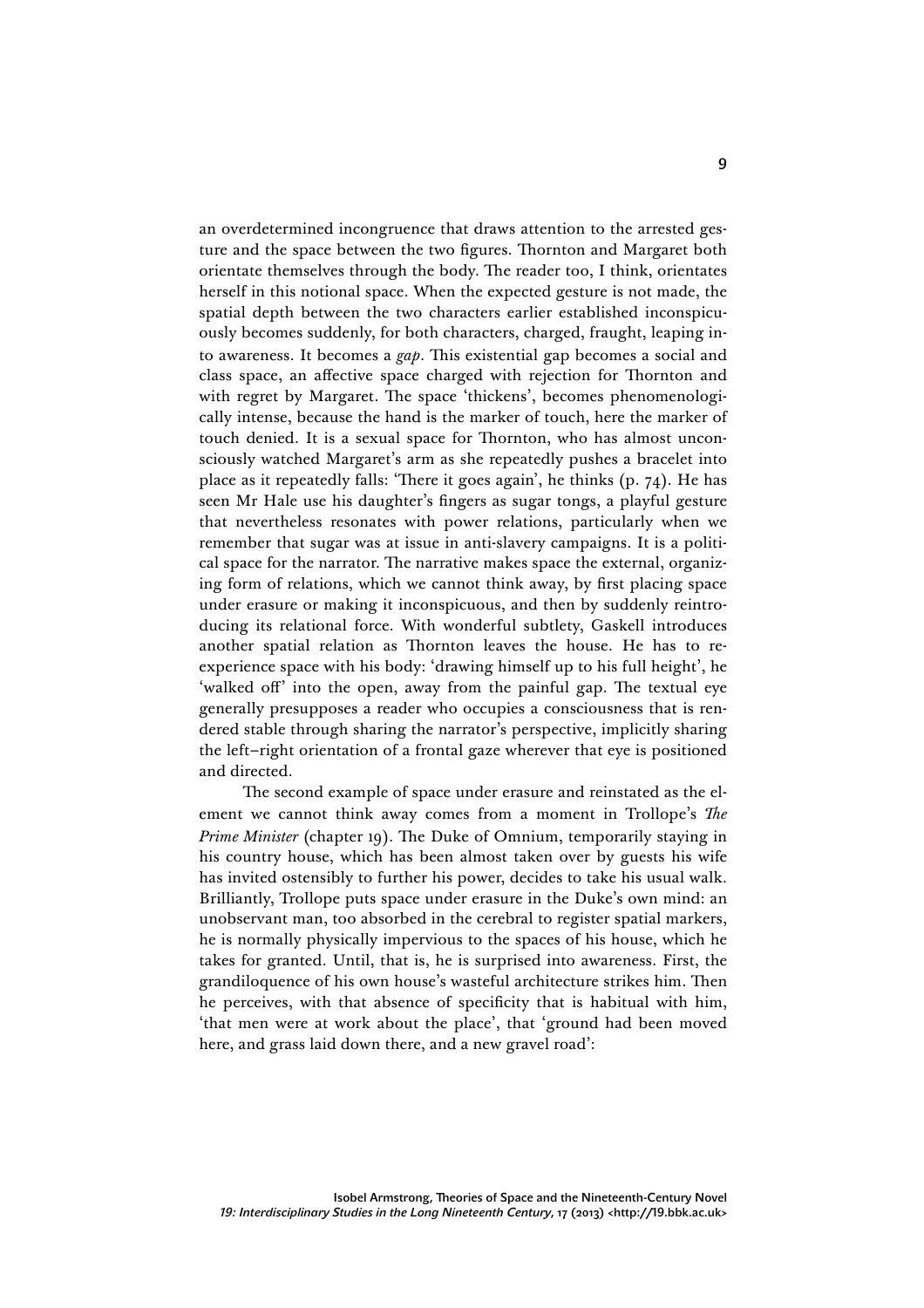an overdetermined incongruence that draws attention to the arrested gesture and the space between the two figures. Thornton and Margaret both orientate themselves through the body. The reader too, I think, orientates herself in this notional space. When the expected gesture is not made, the spatial depth between the two characters earlier established inconspicuously becomes suddenly, for both characters, charged, fraught, leaping into awareness. It becomes a *gap*. This existential gap becomes a social and class space, an affective space charged with rejection for Thornton and with regret by Margaret. The space 'thickens', becomes phenomenologically intense, because the hand is the marker of touch, here the marker of touch denied. It is a sexual space for Thornton, who has almost unconsciously watched Margaret's arm as she repeatedly pushes a bracelet into place as it repeatedly falls: 'There it goes again', he thinks (p. 74). He has seen Mr Hale use his daughter's fingers as sugar tongs, a playful gesture that nevertheless resonates with power relations, particularly when we remember that sugar was at issue in anti-slavery campaigns. It is a political space for the narrator. The narrative makes space the external, organizing form of relations, which we cannot think away, by first placing space under erasure or making it inconspicuous, and then by suddenly reintroducing its relational force. With wonderful subtlety, Gaskell introduces another spatial relation as Thornton leaves the house. He has to reexperience space with his body: 'drawing himself up to his full height', he 'walked off' into the open, away from the painful gap. The textual eye generally presupposes a reader who occupies a consciousness that is rendered stable through sharing the narrator's perspective, implicitly sharing the left–right orientation of a frontal gaze wherever that eye is positioned and directed.

The second example of space under erasure and reinstated as the element we cannot think away comes from a moment in Trollope's *The Prime Minister* (chapter 19). The Duke of Omnium, temporarily staying in his country house, which has been almost taken over by guests his wife has invited ostensibly to further his power, decides to take his usual walk. Brilliantly, Trollope puts space under erasure in the Duke's own mind: an unobservant man, too absorbed in the cerebral to register spatial markers, he is normally physically impervious to the spaces of his house, which he takes for granted. Until, that is, he is surprised into awareness. First, the grandiloquence of his own house's wasteful architecture strikes him. Then he perceives, with that absence of specificity that is habitual with him, 'that men were at work about the place', that 'ground had been moved here, and grass laid down there, and a new gravel road':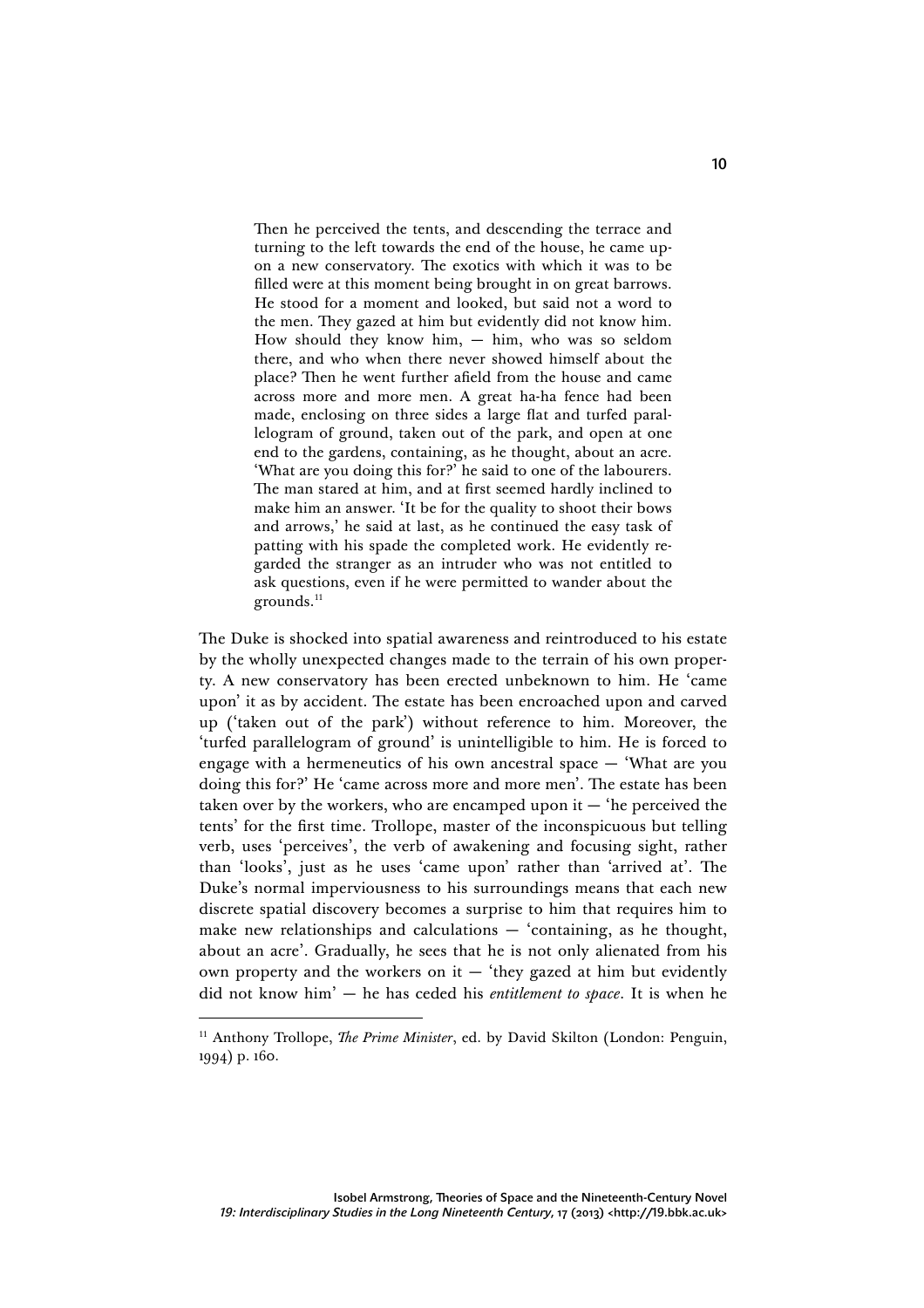Then he perceived the tents, and descending the terrace and turning to the left towards the end of the house, he came upon a new conservatory. The exotics with which it was to be filled were at this moment being brought in on great barrows. He stood for a moment and looked, but said not a word to the men. They gazed at him but evidently did not know him. How should they know him, — him, who was so seldom there, and who when there never showed himself about the place? Then he went further afield from the house and came across more and more men. A great ha-ha fence had been made, enclosing on three sides a large flat and turfed parallelogram of ground, taken out of the park, and open at one end to the gardens, containing, as he thought, about an acre. 'What are you doing this for?' he said to one of the labourers. The man stared at him, and at first seemed hardly inclined to make him an answer. 'It be for the quality to shoot their bows and arrows,' he said at last, as he continued the easy task of patting with his spade the completed work. He evidently regarded the stranger as an intruder who was not entitled to ask questions, even if he were permitted to wander about the grounds.<sup>11</sup>

The Duke is shocked into spatial awareness and reintroduced to his estate by the wholly unexpected changes made to the terrain of his own property. A new conservatory has been erected unbeknown to him. He 'came upon' it as by accident. The estate has been encroached upon and carved up ('taken out of the park') without reference to him. Moreover, the 'turfed parallelogram of ground' is unintelligible to him. He is forced to engage with a hermeneutics of his own ancestral space — 'What are you doing this for?' He 'came across more and more men'. The estate has been taken over by the workers, who are encamped upon it  $-$  'he perceived the tents' for the first time. Trollope, master of the inconspicuous but telling verb, uses 'perceives', the verb of awakening and focusing sight, rather than 'looks', just as he uses 'came upon' rather than 'arrived at'. The Duke's normal imperviousness to his surroundings means that each new discrete spatial discovery becomes a surprise to him that requires him to make new relationships and calculations — 'containing, as he thought, about an acre'. Gradually, he sees that he is not only alienated from his own property and the workers on it  $-$  'they gazed at him but evidently did not know him' — he has ceded his *entitlement to space*. It is when he

<sup>&</sup>lt;sup>11</sup> Anthony Trollope, *The Prime Minister*, ed. by David Skilton (London: Penguin, 1994) p. 160.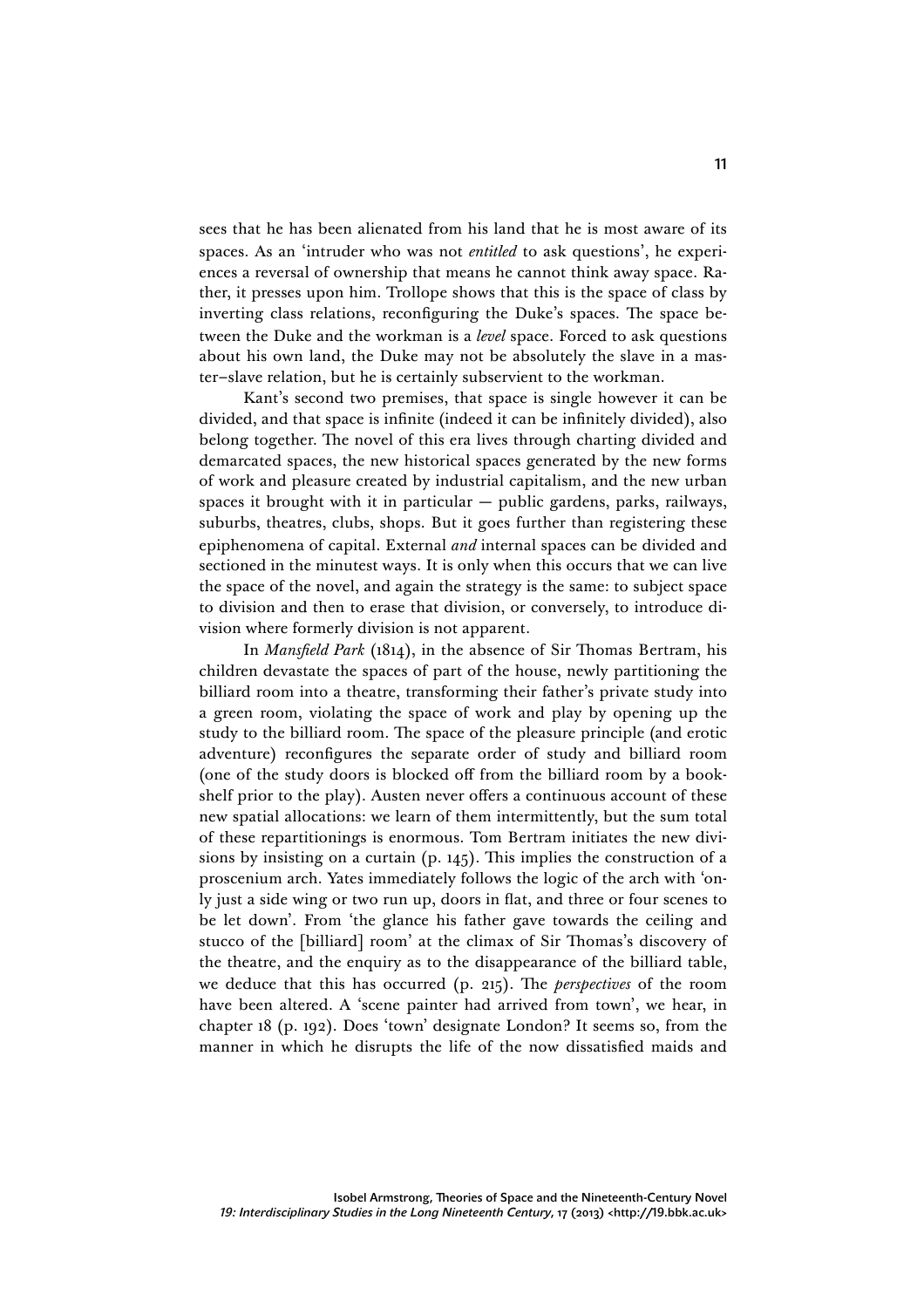sees that he has been alienated from his land that he is most aware of its spaces. As an 'intruder who was not *entitled* to ask questions', he experiences a reversal of ownership that means he cannot think away space. Rather, it presses upon him. Trollope shows that this is the space of class by inverting class relations, reconfiguring the Duke's spaces. The space between the Duke and the workman is a *level* space. Forced to ask questions about his own land, the Duke may not be absolutely the slave in a master–slave relation, but he is certainly subservient to the workman.

Kant's second two premises, that space is single however it can be divided, and that space is infinite (indeed it can be infinitely divided), also belong together. The novel of this era lives through charting divided and demarcated spaces, the new historical spaces generated by the new forms of work and pleasure created by industrial capitalism, and the new urban spaces it brought with it in particular — public gardens, parks, railways, suburbs, theatres, clubs, shops. But it goes further than registering these epiphenomena of capital. External *and* internal spaces can be divided and sectioned in the minutest ways. It is only when this occurs that we can live the space of the novel, and again the strategy is the same: to subject space to division and then to erase that division, or conversely, to introduce division where formerly division is not apparent.

In *Mansfield Park* (1814), in the absence of Sir Thomas Bertram, his children devastate the spaces of part of the house, newly partitioning the billiard room into a theatre, transforming their father's private study into a green room, violating the space of work and play by opening up the study to the billiard room. The space of the pleasure principle (and erotic adventure) reconfigures the separate order of study and billiard room (one of the study doors is blocked off from the billiard room by a bookshelf prior to the play). Austen never offers a continuous account of these new spatial allocations: we learn of them intermittently, but the sum total of these repartitionings is enormous. Tom Bertram initiates the new divisions by insisting on a curtain (p. 145). This implies the construction of a proscenium arch. Yates immediately follows the logic of the arch with 'only just a side wing or two run up, doors in flat, and three or four scenes to be let down'. From 'the glance his father gave towards the ceiling and stucco of the [billiard] room' at the climax of Sir Thomas's discovery of the theatre, and the enquiry as to the disappearance of the billiard table, we deduce that this has occurred (p. 215). The *perspectives* of the room have been altered. A 'scene painter had arrived from town', we hear, in chapter 18 (p. 192). Does 'town' designate London? It seems so, from the manner in which he disrupts the life of the now dissatisfied maids and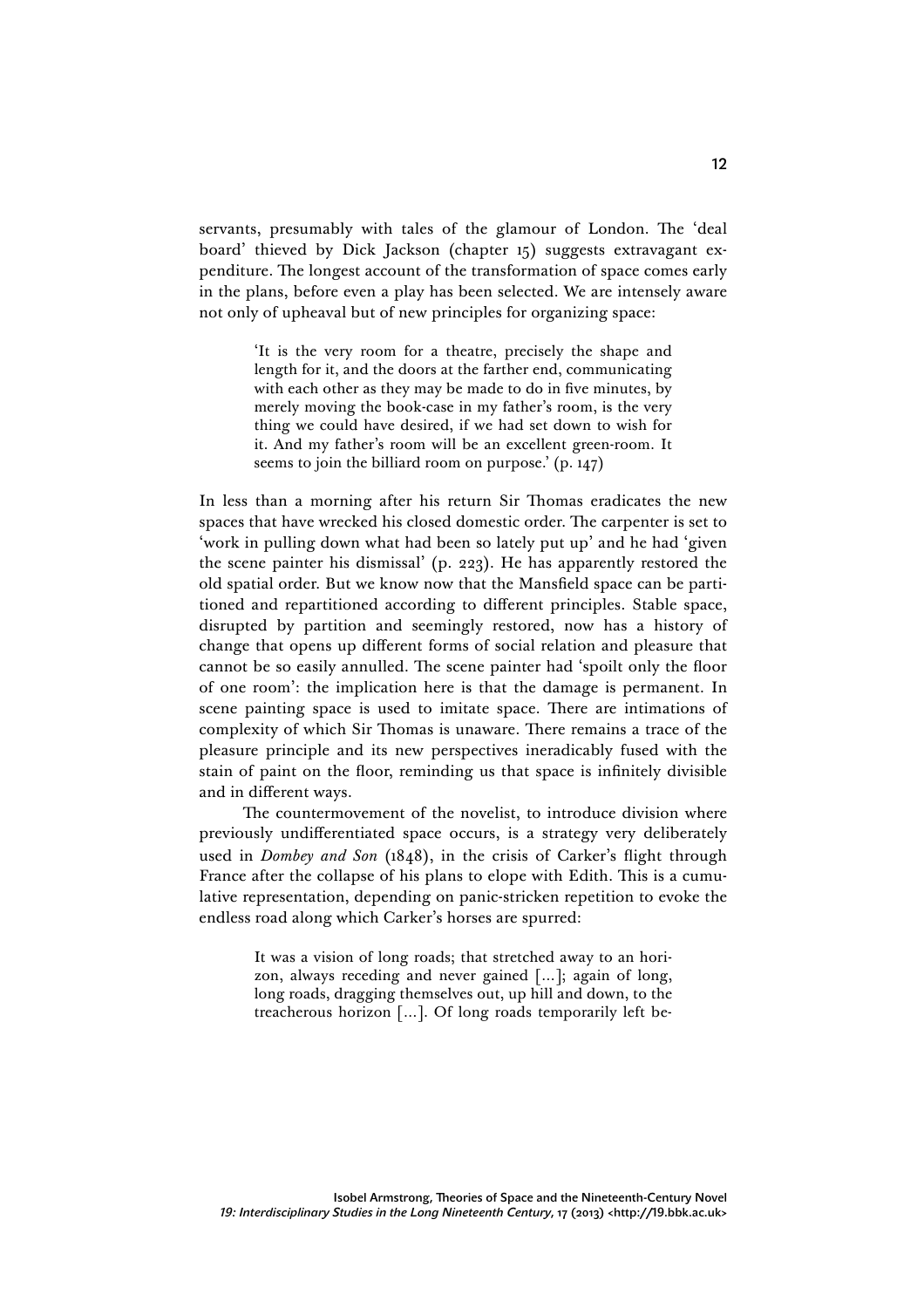servants, presumably with tales of the glamour of London. The 'deal board' thieved by Dick Jackson (chapter 15) suggests extravagant expenditure. The longest account of the transformation of space comes early in the plans, before even a play has been selected. We are intensely aware not only of upheaval but of new principles for organizing space:

> 'It is the very room for a theatre, precisely the shape and length for it, and the doors at the farther end, communicating with each other as they may be made to do in five minutes, by merely moving the book-case in my father's room, is the very thing we could have desired, if we had set down to wish for it. And my father's room will be an excellent green-room. It seems to join the billiard room on purpose.' (p. 147)

In less than a morning after his return Sir Thomas eradicates the new spaces that have wrecked his closed domestic order. The carpenter is set to 'work in pulling down what had been so lately put up' and he had 'given the scene painter his dismissal' (p. 223). He has apparently restored the old spatial order. But we know now that the Mansfield space can be partitioned and repartitioned according to different principles. Stable space, disrupted by partition and seemingly restored, now has a history of change that opens up different forms of social relation and pleasure that cannot be so easily annulled. The scene painter had 'spoilt only the floor of one room': the implication here is that the damage is permanent. In scene painting space is used to imitate space. There are intimations of complexity of which Sir Thomas is unaware. There remains a trace of the pleasure principle and its new perspectives ineradicably fused with the stain of paint on the floor, reminding us that space is infinitely divisible and in different ways.

The countermovement of the novelist, to introduce division where previously undifferentiated space occurs, is a strategy very deliberately used in *Dombey and Son* (1848), in the crisis of Carker's flight through France after the collapse of his plans to elope with Edith. This is a cumulative representation, depending on panic-stricken repetition to evoke the endless road along which Carker's horses are spurred:

> It was a vision of long roads; that stretched away to an horizon, always receding and never gained […]; again of long, long roads, dragging themselves out, up hill and down, to the treacherous horizon […]. Of long roads temporarily left be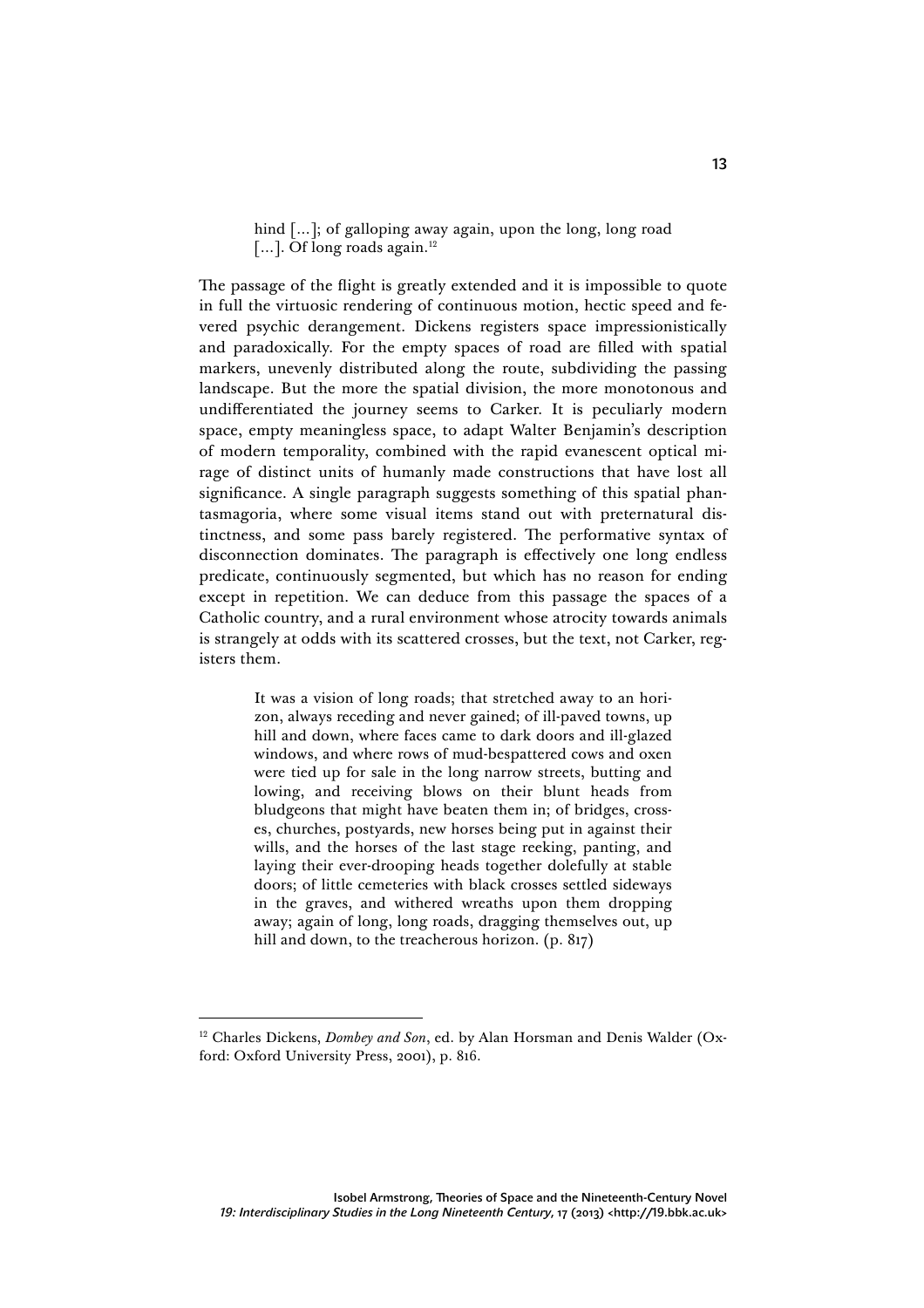hind [...]; of galloping away again, upon the long, long road [...]. Of long roads again.<sup>12</sup>

The passage of the flight is greatly extended and it is impossible to quote in full the virtuosic rendering of continuous motion, hectic speed and fevered psychic derangement. Dickens registers space impressionistically and paradoxically. For the empty spaces of road are filled with spatial markers, unevenly distributed along the route, subdividing the passing landscape. But the more the spatial division, the more monotonous and undifferentiated the journey seems to Carker. It is peculiarly modern space, empty meaningless space, to adapt Walter Benjamin's description of modern temporality, combined with the rapid evanescent optical mirage of distinct units of humanly made constructions that have lost all significance. A single paragraph suggests something of this spatial phantasmagoria, where some visual items stand out with preternatural distinctness, and some pass barely registered. The performative syntax of disconnection dominates. The paragraph is effectively one long endless predicate, continuously segmented, but which has no reason for ending except in repetition. We can deduce from this passage the spaces of a Catholic country, and a rural environment whose atrocity towards animals is strangely at odds with its scattered crosses, but the text, not Carker, registers them.

> It was a vision of long roads; that stretched away to an horizon, always receding and never gained; of ill-paved towns, up hill and down, where faces came to dark doors and ill-glazed windows, and where rows of mud-bespattered cows and oxen were tied up for sale in the long narrow streets, butting and lowing, and receiving blows on their blunt heads from bludgeons that might have beaten them in; of bridges, crosses, churches, postyards, new horses being put in against their wills, and the horses of the last stage reeking, panting, and laying their ever-drooping heads together dolefully at stable doors; of little cemeteries with black crosses settled sideways in the graves, and withered wreaths upon them dropping away; again of long, long roads, dragging themselves out, up hill and down, to the treacherous horizon. (p. 817)

l

<sup>&</sup>lt;sup>12</sup> Charles Dickens, *Dombey and Son*, ed. by Alan Horsman and Denis Walder (Oxford: Oxford University Press, 2001), p. 816.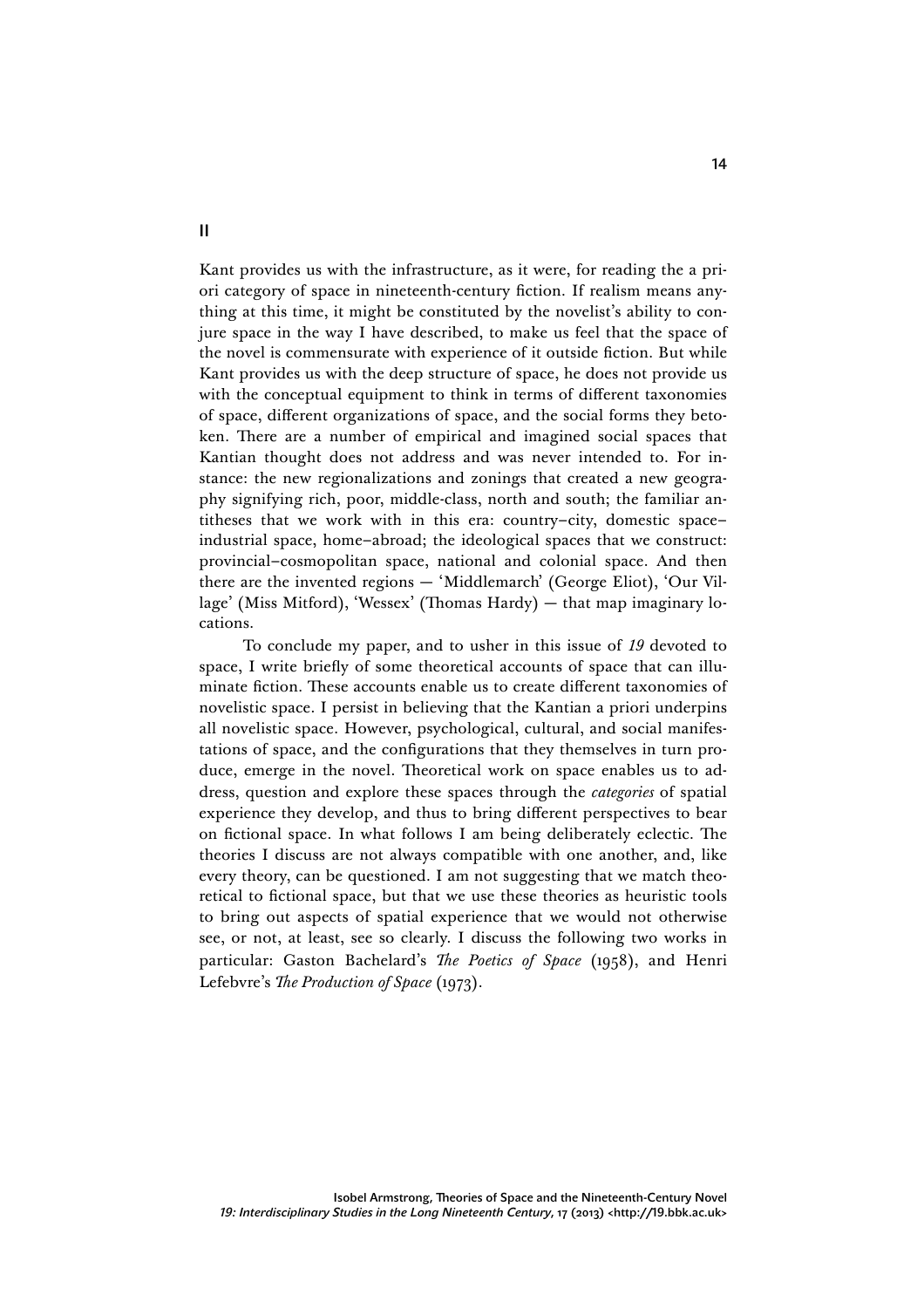Kant provides us with the infrastructure, as it were, for reading the a priori category of space in nineteenth-century fiction. If realism means anything at this time, it might be constituted by the novelist's ability to conjure space in the way I have described, to make us feel that the space of the novel is commensurate with experience of it outside fiction. But while Kant provides us with the deep structure of space, he does not provide us with the conceptual equipment to think in terms of different taxonomies of space, different organizations of space, and the social forms they betoken. There are a number of empirical and imagined social spaces that Kantian thought does not address and was never intended to. For instance: the new regionalizations and zonings that created a new geography signifying rich, poor, middle-class, north and south; the familiar antitheses that we work with in this era: country–city, domestic space– industrial space, home–abroad; the ideological spaces that we construct: provincial–cosmopolitan space, national and colonial space. And then there are the invented regions — 'Middlemarch' (George Eliot), 'Our Village' (Miss Mitford), 'Wessex' (Thomas Hardy) — that map imaginary locations.

To conclude my paper, and to usher in this issue of *19* devoted to space, I write briefly of some theoretical accounts of space that can illuminate fiction. These accounts enable us to create different taxonomies of novelistic space. I persist in believing that the Kantian a priori underpins all novelistic space. However, psychological, cultural, and social manifestations of space, and the configurations that they themselves in turn produce, emerge in the novel. Theoretical work on space enables us to address, question and explore these spaces through the *categories* of spatial experience they develop, and thus to bring different perspectives to bear on fictional space. In what follows I am being deliberately eclectic. The theories I discuss are not always compatible with one another, and, like every theory, can be questioned. I am not suggesting that we match theoretical to fictional space, but that we use these theories as heuristic tools to bring out aspects of spatial experience that we would not otherwise see, or not, at least, see so clearly. I discuss the following two works in particular: Gaston Bachelard's *The Poetics of Space* (1958), and Henri Lefebvre's *The Production of Space* (1973).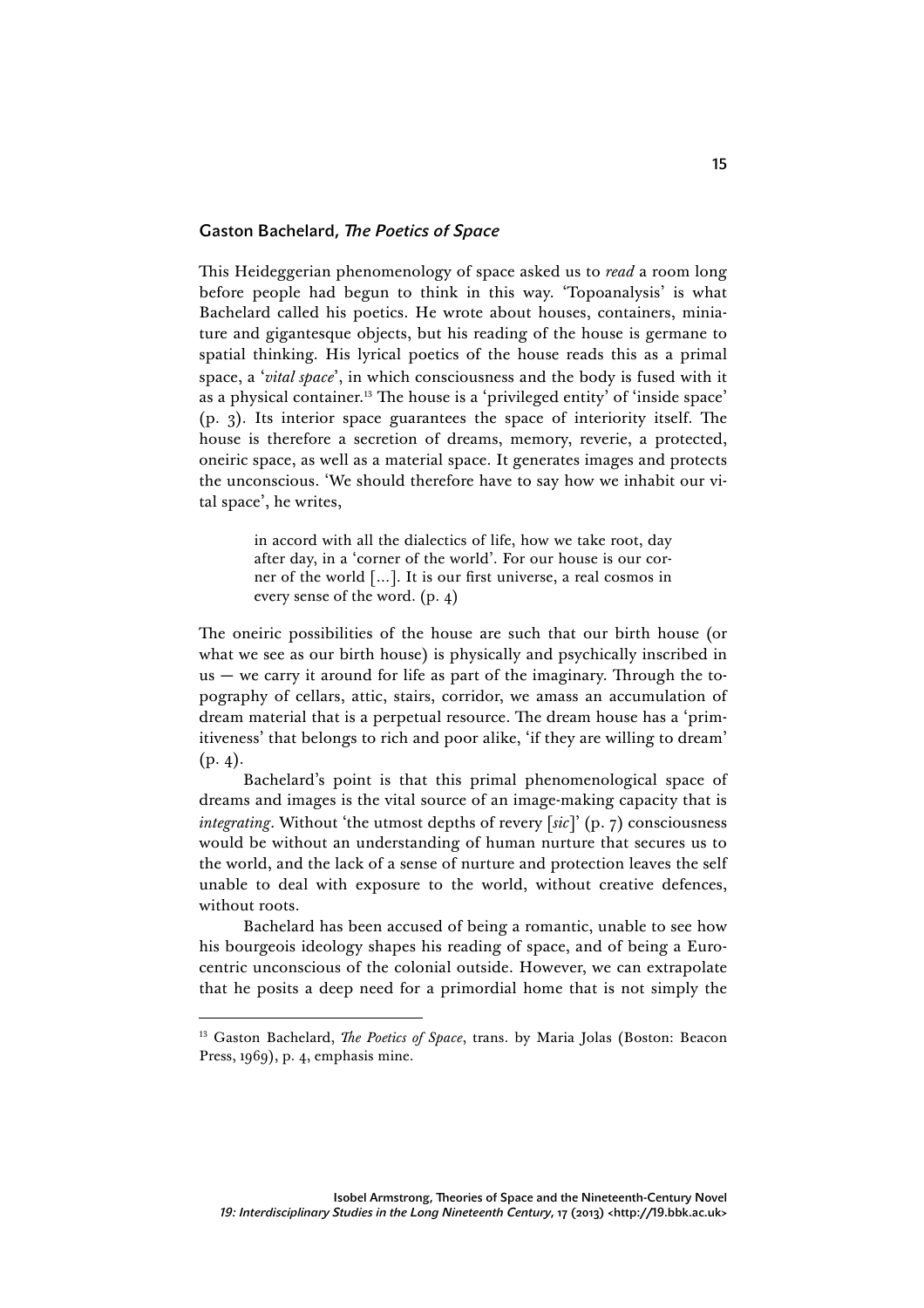## Gaston Bachelard, *The Poetics of Space*

This Heideggerian phenomenology of space asked us to *read* a room long before people had begun to think in this way. 'Topoanalysis' is what Bachelard called his poetics. He wrote about houses, containers, miniature and gigantesque objects, but his reading of the house is germane to spatial thinking. His lyrical poetics of the house reads this as a primal space, a '*vital space*', in which consciousness and the body is fused with it as a physical container.13 The house is a 'privileged entity' of 'inside space' (p. 3). Its interior space guarantees the space of interiority itself. The house is therefore a secretion of dreams, memory, reverie, a protected, oneiric space, as well as a material space. It generates images and protects the unconscious. 'We should therefore have to say how we inhabit our vital space', he writes,

> in accord with all the dialectics of life, how we take root, day after day, in a 'corner of the world'. For our house is our corner of the world […]. It is our first universe, a real cosmos in every sense of the word. (p. 4)

The oneiric possibilities of the house are such that our birth house (or what we see as our birth house) is physically and psychically inscribed in us  $-$  we carry it around for life as part of the imaginary. Through the topography of cellars, attic, stairs, corridor, we amass an accumulation of dream material that is a perpetual resource. The dream house has a 'primitiveness' that belongs to rich and poor alike, 'if they are willing to dream'  $(p. 4).$ 

Bachelard's point is that this primal phenomenological space of dreams and images is the vital source of an image-making capacity that is *integrating*. Without 'the utmost depths of revery [*sic*]' (p. 7) consciousness would be without an understanding of human nurture that secures us to the world, and the lack of a sense of nurture and protection leaves the self unable to deal with exposure to the world, without creative defences, without roots.

Bachelard has been accused of being a romantic, unable to see how his bourgeois ideology shapes his reading of space, and of being a Eurocentric unconscious of the colonial outside. However, we can extrapolate that he posits a deep need for a primordial home that is not simply the

l

<sup>&</sup>lt;sup>13</sup> Gaston Bachelard, *The Poetics of Space*, trans. by Maria Jolas (Boston: Beacon Press, 1969), p. 4, emphasis mine.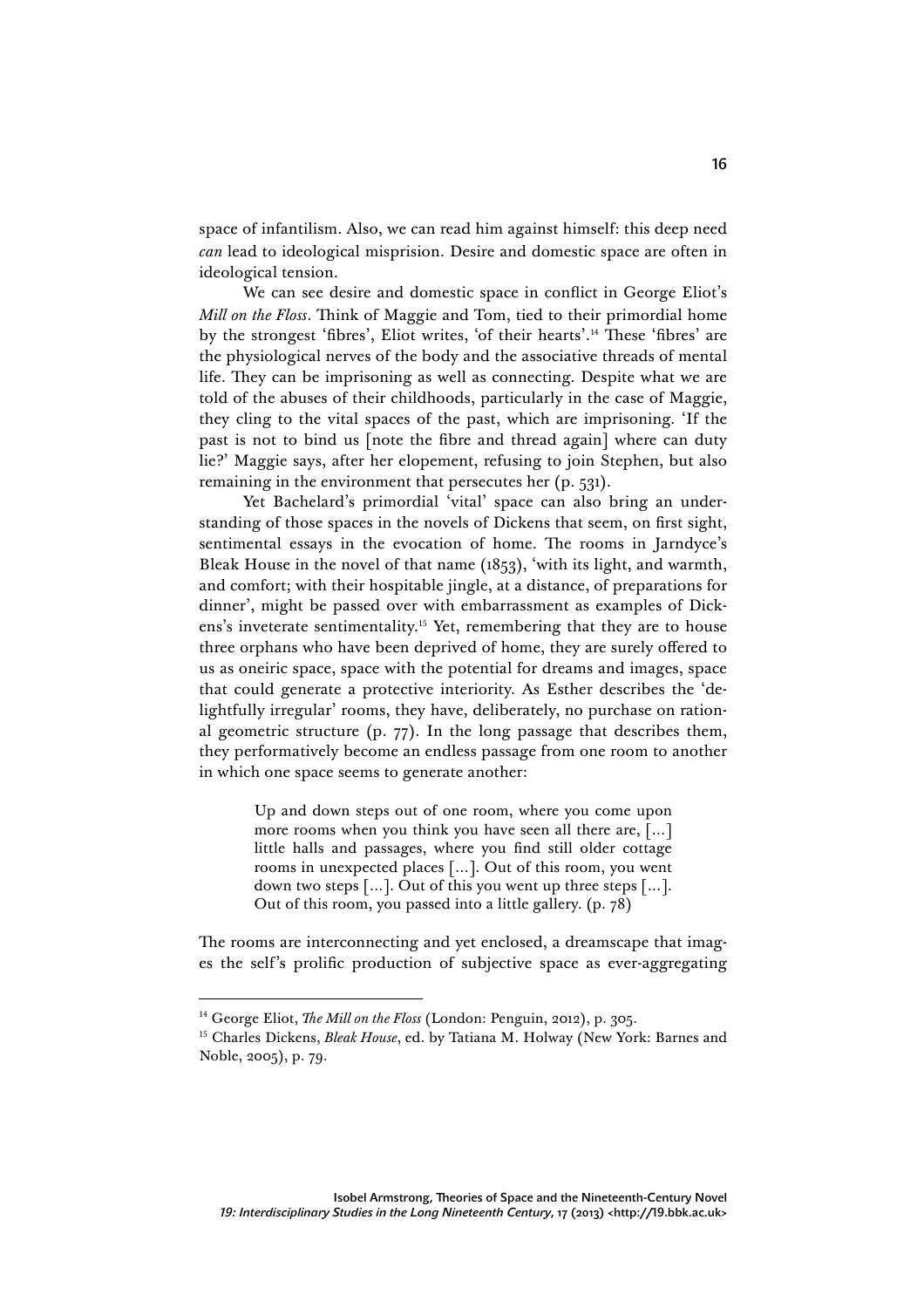space of infantilism. Also, we can read him against himself: this deep need *can* lead to ideological misprision. Desire and domestic space are often in ideological tension.

We can see desire and domestic space in conflict in George Eliot's *Mill on the Floss*. Think of Maggie and Tom, tied to their primordial home by the strongest 'fibres', Eliot writes, 'of their hearts'.14 These 'fibres' are the physiological nerves of the body and the associative threads of mental life. They can be imprisoning as well as connecting. Despite what we are told of the abuses of their childhoods, particularly in the case of Maggie, they cling to the vital spaces of the past, which are imprisoning. 'If the past is not to bind us [note the fibre and thread again] where can duty lie?' Maggie says, after her elopement, refusing to join Stephen, but also remaining in the environment that persecutes her (p. 531).

Yet Bachelard's primordial 'vital' space can also bring an understanding of those spaces in the novels of Dickens that seem, on first sight, sentimental essays in the evocation of home. The rooms in Jarndyce's Bleak House in the novel of that name (1853), 'with its light, and warmth, and comfort; with their hospitable jingle, at a distance, of preparations for dinner', might be passed over with embarrassment as examples of Dickens's inveterate sentimentality.15 Yet, remembering that they are to house three orphans who have been deprived of home, they are surely offered to us as oneiric space, space with the potential for dreams and images, space that could generate a protective interiority. As Esther describes the 'delightfully irregular' rooms, they have, deliberately, no purchase on rational geometric structure (p. 77). In the long passage that describes them, they performatively become an endless passage from one room to another in which one space seems to generate another:

> Up and down steps out of one room, where you come upon more rooms when you think you have seen all there are, […] little halls and passages, where you find still older cottage rooms in unexpected places […]. Out of this room, you went down two steps […]. Out of this you went up three steps […]. Out of this room, you passed into a little gallery. (p. 78)

The rooms are interconnecting and yet enclosed, a dreamscape that images the self's prolific production of subjective space as ever-aggregating

<sup>&</sup>lt;sup>14</sup> George Eliot, *The Mill on the Floss* (London: Penguin, 2012), p. 305.

<sup>15</sup> Charles Dickens, *Bleak House*, ed. by Tatiana M. Holway (New York: Barnes and Noble, 2005), p. 79.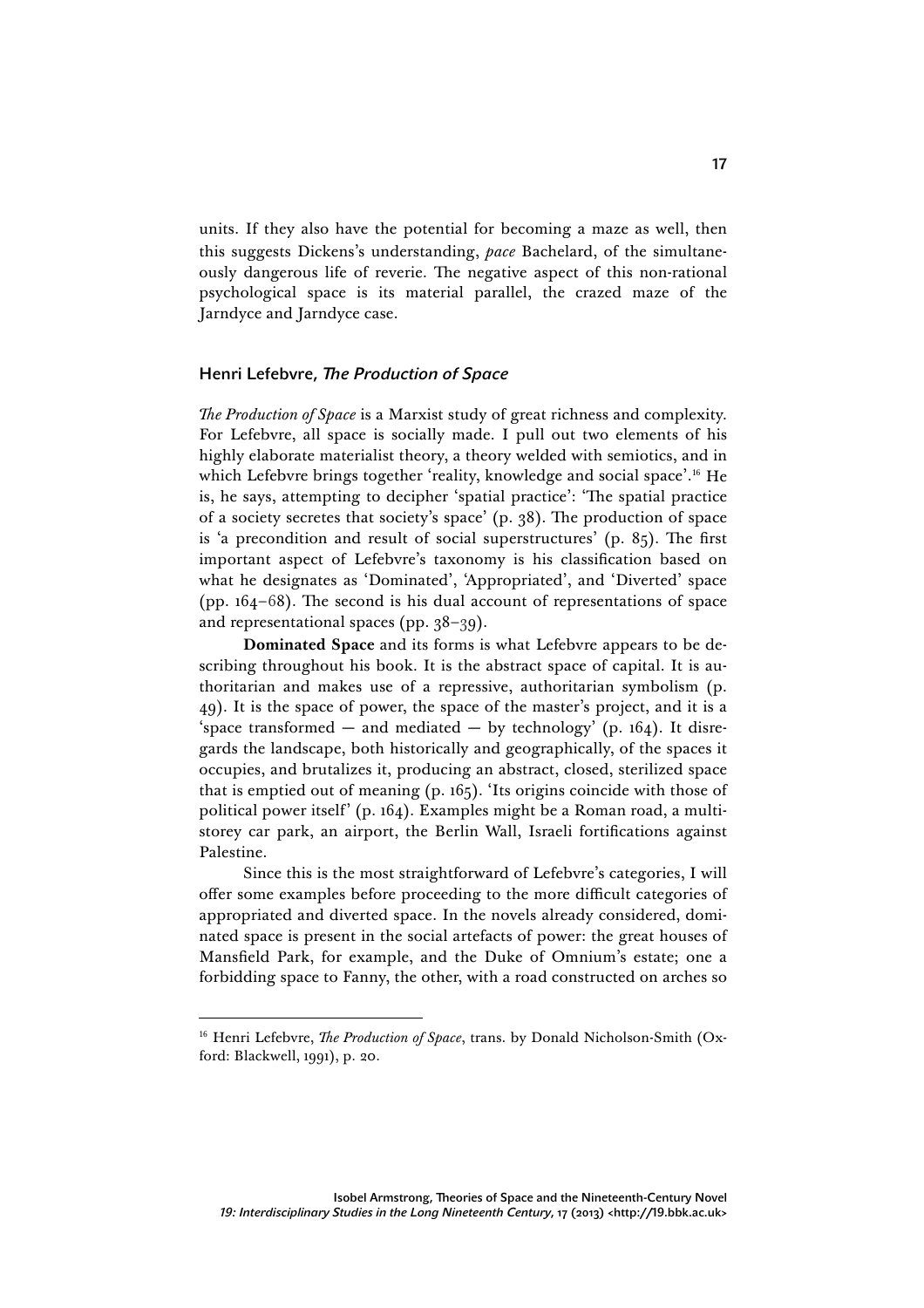units. If they also have the potential for becoming a maze as well, then this suggests Dickens's understanding, *pace* Bachelard, of the simultaneously dangerous life of reverie. The negative aspect of this non-rational psychological space is its material parallel, the crazed maze of the Jarndyce and Jarndyce case.

## Henri Lefebvre, *The Production of Space*

*The Production of Space* is a Marxist study of great richness and complexity. For Lefebvre, all space is socially made. I pull out two elements of his highly elaborate materialist theory, a theory welded with semiotics, and in which Lefebvre brings together 'reality, knowledge and social space'.<sup>16</sup> He is, he says, attempting to decipher 'spatial practice': 'The spatial practice of a society secretes that society's space' (p. 38). The production of space is 'a precondition and result of social superstructures' (p. 85). The first important aspect of Lefebvre's taxonomy is his classification based on what he designates as 'Dominated', 'Appropriated', and 'Diverted' space (pp. 164–68). The second is his dual account of representations of space and representational spaces (pp. 38–39).

**Dominated Space** and its forms is what Lefebvre appears to be describing throughout his book. It is the abstract space of capital. It is authoritarian and makes use of a repressive, authoritarian symbolism (p. 49). It is the space of power, the space of the master's project, and it is a 'space transformed — and mediated — by technology' (p.  $164$ ). It disregards the landscape, both historically and geographically, of the spaces it occupies, and brutalizes it, producing an abstract, closed, sterilized space that is emptied out of meaning (p. 165). 'Its origins coincide with those of political power itself' (p. 164). Examples might be a Roman road, a multistorey car park, an airport, the Berlin Wall, Israeli fortifications against Palestine.

Since this is the most straightforward of Lefebvre's categories, I will offer some examples before proceeding to the more difficult categories of appropriated and diverted space. In the novels already considered, dominated space is present in the social artefacts of power: the great houses of Mansfield Park, for example, and the Duke of Omnium's estate; one a forbidding space to Fanny, the other, with a road constructed on arches so

l

<sup>&</sup>lt;sup>16</sup> Henri Lefebvre, *The Production of Space*, trans. by Donald Nicholson-Smith (Oxford: Blackwell, 1991), p. 20.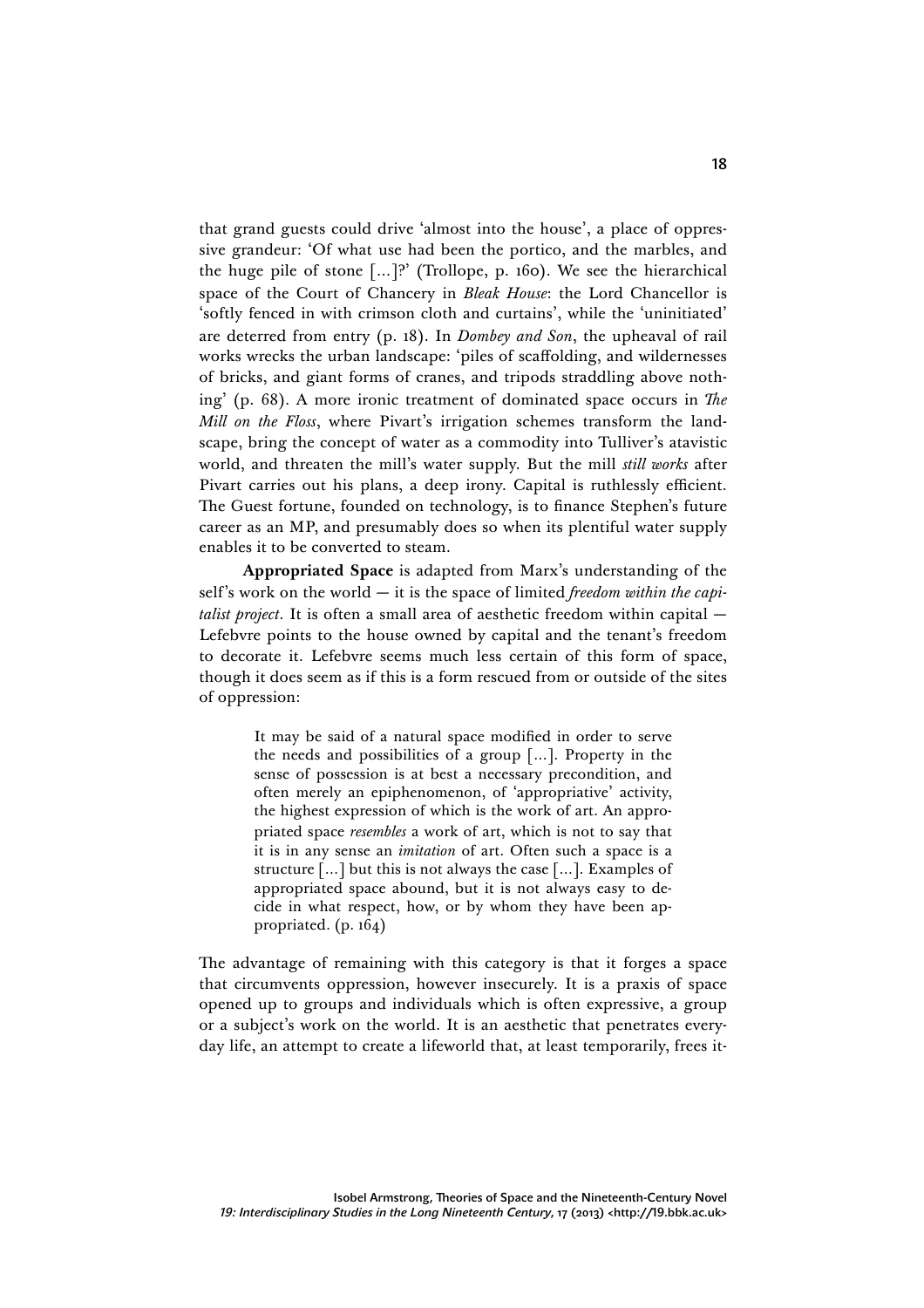that grand guests could drive 'almost into the house', a place of oppressive grandeur: 'Of what use had been the portico, and the marbles, and the huge pile of stone […]?' (Trollope, p. 160). We see the hierarchical space of the Court of Chancery in *Bleak House*: the Lord Chancellor is 'softly fenced in with crimson cloth and curtains', while the 'uninitiated' are deterred from entry (p. 18). In *Dombey and Son*, the upheaval of rail works wrecks the urban landscape: 'piles of scaffolding, and wildernesses of bricks, and giant forms of cranes, and tripods straddling above nothing' (p. 68). A more ironic treatment of dominated space occurs in *The Mill on the Floss*, where Pivart's irrigation schemes transform the landscape, bring the concept of water as a commodity into Tulliver's atavistic world, and threaten the mill's water supply. But the mill *still works* after Pivart carries out his plans, a deep irony. Capital is ruthlessly efficient. The Guest fortune, founded on technology, is to finance Stephen's future career as an MP, and presumably does so when its plentiful water supply enables it to be converted to steam.

**Appropriated Space** is adapted from Marx's understanding of the self's work on the world — it is the space of limited *freedom within the capitalist project*. It is often a small area of aesthetic freedom within capital — Lefebvre points to the house owned by capital and the tenant's freedom to decorate it. Lefebvre seems much less certain of this form of space, though it does seem as if this is a form rescued from or outside of the sites of oppression:

> It may be said of a natural space modified in order to serve the needs and possibilities of a group […]. Property in the sense of possession is at best a necessary precondition, and often merely an epiphenomenon, of 'appropriative' activity, the highest expression of which is the work of art. An appropriated space *resembles* a work of art, which is not to say that it is in any sense an *imitation* of art. Often such a space is a structure […] but this is not always the case […]. Examples of appropriated space abound, but it is not always easy to decide in what respect, how, or by whom they have been appropriated. (p. 164)

The advantage of remaining with this category is that it forges a space that circumvents oppression, however insecurely. It is a praxis of space opened up to groups and individuals which is often expressive, a group or a subject's work on the world. It is an aesthetic that penetrates everyday life, an attempt to create a lifeworld that, at least temporarily, frees it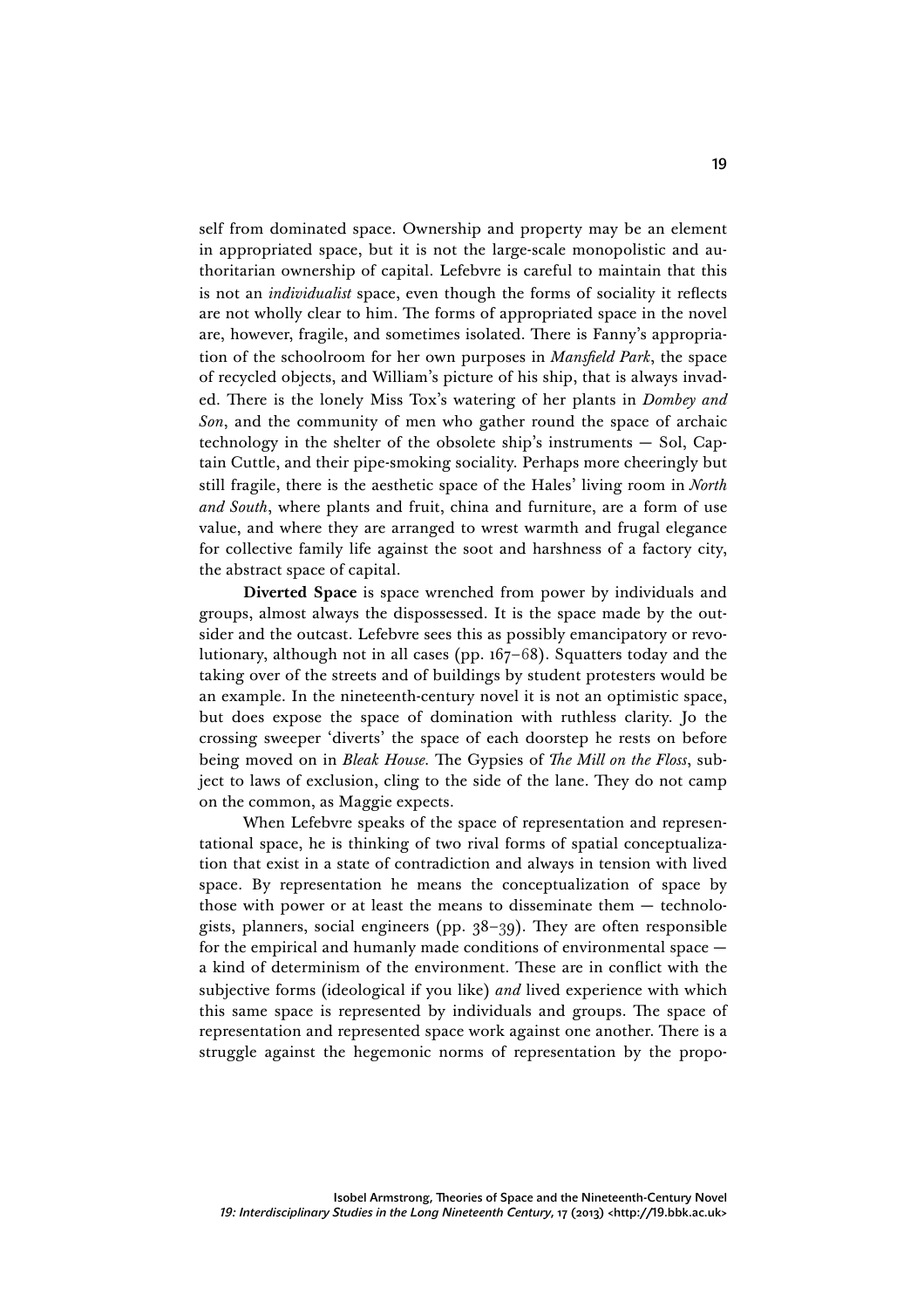self from dominated space. Ownership and property may be an element in appropriated space, but it is not the large-scale monopolistic and authoritarian ownership of capital. Lefebvre is careful to maintain that this is not an *individualist* space, even though the forms of sociality it reflects are not wholly clear to him. The forms of appropriated space in the novel are, however, fragile, and sometimes isolated. There is Fanny's appropriation of the schoolroom for her own purposes in *Mansfield Park*, the space of recycled objects, and William's picture of his ship, that is always invaded. There is the lonely Miss Tox's watering of her plants in *Dombey and Son*, and the community of men who gather round the space of archaic technology in the shelter of the obsolete ship's instruments — Sol, Captain Cuttle, and their pipe-smoking sociality. Perhaps more cheeringly but still fragile, there is the aesthetic space of the Hales' living room in *North and South*, where plants and fruit, china and furniture, are a form of use value, and where they are arranged to wrest warmth and frugal elegance for collective family life against the soot and harshness of a factory city, the abstract space of capital.

**Diverted Space** is space wrenched from power by individuals and groups, almost always the dispossessed. It is the space made by the outsider and the outcast. Lefebvre sees this as possibly emancipatory or revolutionary, although not in all cases (pp. 167–68). Squatters today and the taking over of the streets and of buildings by student protesters would be an example. In the nineteenth-century novel it is not an optimistic space, but does expose the space of domination with ruthless clarity. Jo the crossing sweeper 'diverts' the space of each doorstep he rests on before being moved on in *Bleak House.* The Gypsies of *The Mill on the Floss*, subject to laws of exclusion, cling to the side of the lane. They do not camp on the common, as Maggie expects.

When Lefebvre speaks of the space of representation and representational space, he is thinking of two rival forms of spatial conceptualization that exist in a state of contradiction and always in tension with lived space. By representation he means the conceptualization of space by those with power or at least the means to disseminate them — technologists, planners, social engineers (pp. 38–39). They are often responsible for the empirical and humanly made conditions of environmental space a kind of determinism of the environment. These are in conflict with the subjective forms (ideological if you like) *and* lived experience with which this same space is represented by individuals and groups. The space of representation and represented space work against one another. There is a struggle against the hegemonic norms of representation by the propo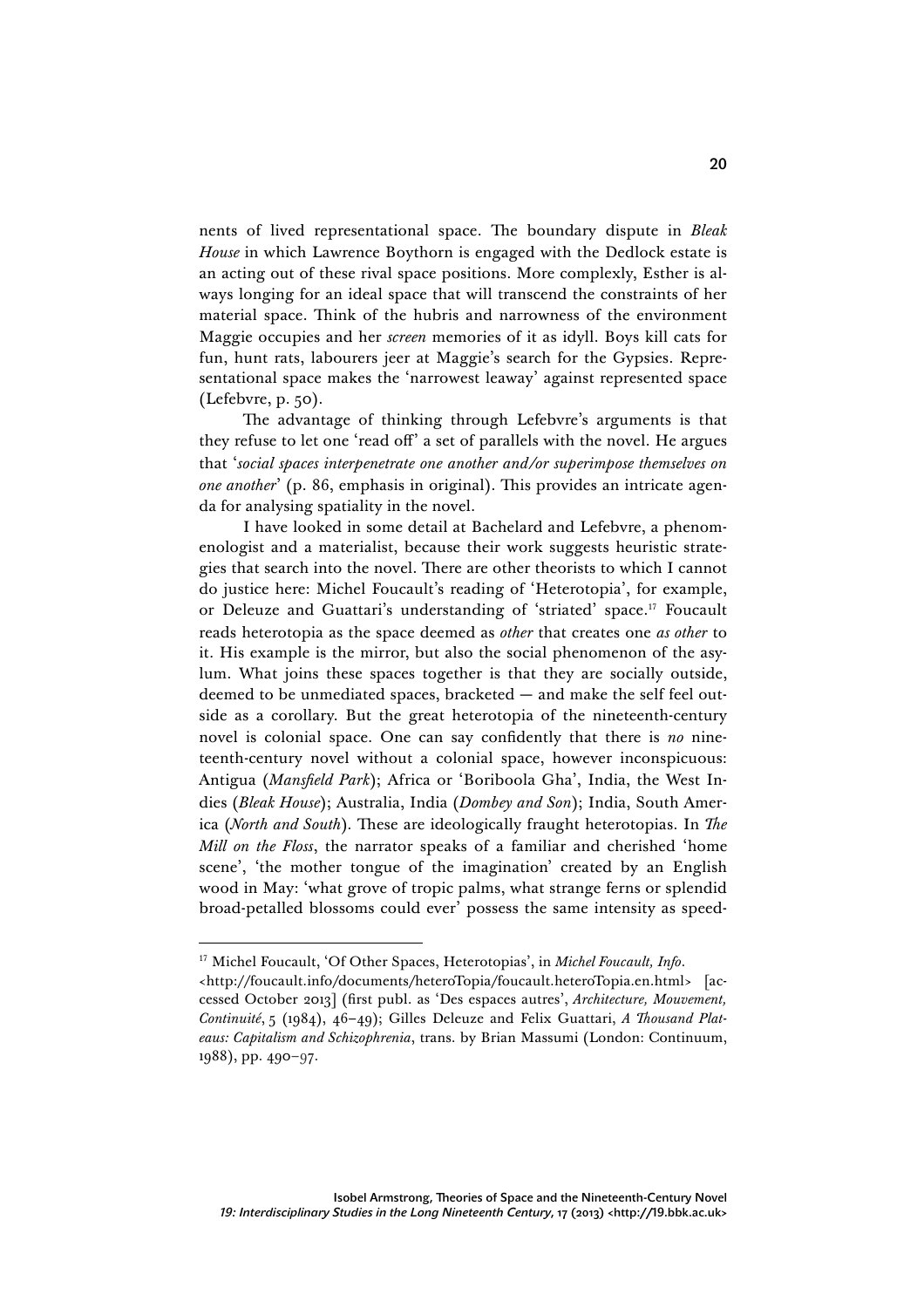nents of lived representational space. The boundary dispute in *Bleak House* in which Lawrence Boythorn is engaged with the Dedlock estate is an acting out of these rival space positions. More complexly, Esther is always longing for an ideal space that will transcend the constraints of her material space. Think of the hubris and narrowness of the environment Maggie occupies and her *screen* memories of it as idyll. Boys kill cats for fun, hunt rats, labourers jeer at Maggie's search for the Gypsies. Representational space makes the 'narrowest leaway' against represented space (Lefebvre, p. 50).

The advantage of thinking through Lefebvre's arguments is that they refuse to let one 'read off' a set of parallels with the novel. He argues that '*social spaces interpenetrate one another and/or superimpose themselves on one another*' (p. 86, emphasis in original). This provides an intricate agenda for analysing spatiality in the novel.

I have looked in some detail at Bachelard and Lefebvre, a phenomenologist and a materialist, because their work suggests heuristic strategies that search into the novel. There are other theorists to which I cannot do justice here: Michel Foucault's reading of 'Heterotopia', for example, or Deleuze and Guattari's understanding of 'striated' space.17 Foucault reads heterotopia as the space deemed as *other* that creates one *as other* to it. His example is the mirror, but also the social phenomenon of the asylum. What joins these spaces together is that they are socially outside, deemed to be unmediated spaces, bracketed — and make the self feel outside as a corollary. But the great heterotopia of the nineteenth-century novel is colonial space. One can say confidently that there is *no* nineteenth-century novel without a colonial space, however inconspicuous: Antigua (*Mansfield Park*); Africa or 'Boriboola Gha', India, the West Indies (*Bleak House*); Australia, India (*Dombey and Son*); India, South America (*North and South*)*.* These are ideologically fraught heterotopias. In *The Mill on the Floss*, the narrator speaks of a familiar and cherished 'home scene', 'the mother tongue of the imagination' created by an English wood in May: 'what grove of tropic palms, what strange ferns or splendid broad-petalled blossoms could ever' possess the same intensity as speed-

 <sup>17</sup> Michel Foucault, 'Of Other Spaces, Heterotopias', in *Michel Foucault, Info*.

<sup>&</sup>lt;http://foucault.info/documents/heteroTopia/foucault.heteroTopia.en.html> [accessed October 2013] (first publ. as 'Des espaces autres', *Architecture, Mouvement, Continuité*, 5 (1984), 46–49); Gilles Deleuze and Felix Guattari, *A Thousand Plateaus: Capitalism and Schizophrenia*, trans. by Brian Massumi (London: Continuum, 1988), pp. 490–97.